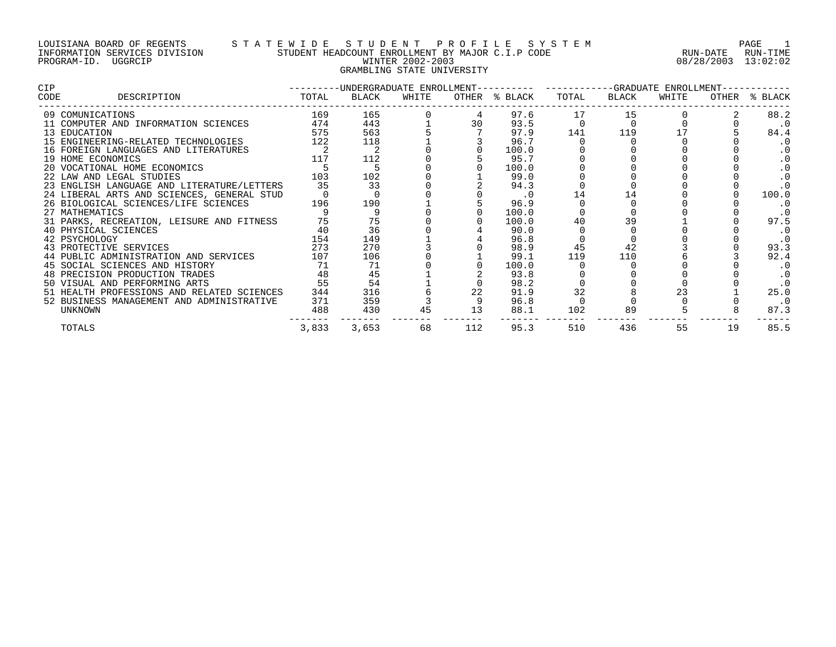### LOUISIANA BOARD OF REGENTS S T A T E W I D E S T U D E N T P R O F I L E S Y S T E M PAGE 1 INFORMATION SERVICES DIVISION STUDENT HEADCOUNT ENROLLMENT BY MAJOR C.I.P CODE RUN-DATE RUN-TIME PROGRAM-ID. UGGRCIP WINTER 2002-2003 08/28/2003 13:02:02 GRAMBLING STATE UNIVERSITY

| <b>CIP</b>                                 |       | ---------UNDERGRADUATE ENROLLMENT---------- ---------GRADUATE ENROLLMENT- |       |     |               |       |       |       |    |               |  |  |
|--------------------------------------------|-------|---------------------------------------------------------------------------|-------|-----|---------------|-------|-------|-------|----|---------------|--|--|
| DESCRIPTION<br>CODE                        | TOTAL | BLACK                                                                     | WHITE |     | OTHER % BLACK | TOTAL | BLACK | WHITE |    | OTHER % BLACK |  |  |
| 09 COMUNICATIONS                           | 169   | 165                                                                       |       |     | 97.6          | 17    | 15    |       |    | 88.2          |  |  |
| 11 COMPUTER AND INFORMATION SCIENCES       | 474   | 443                                                                       |       | 30  | 93.5          |       |       |       |    | $\cdot$ 0     |  |  |
| 13 EDUCATION                               | 575   | 563                                                                       |       |     | 97.9          | 141   | 119   |       |    | 84.4          |  |  |
| 15 ENGINEERING-RELATED TECHNOLOGIES        | 122   | 118                                                                       |       |     | 96.7          |       |       |       |    | $\cdot$ 0     |  |  |
| 16 FOREIGN LANGUAGES AND LITERATURES       |       |                                                                           |       |     | 100.0         |       |       |       |    | . 0           |  |  |
| 19 HOME ECONOMICS                          | 117   | 112                                                                       |       |     | 95.7          |       |       |       |    | . 0           |  |  |
| 20 VOCATIONAL HOME ECONOMICS               |       |                                                                           |       |     | 100.0         |       |       |       |    | . 0           |  |  |
| 22 LAW AND LEGAL STUDIES                   | 103   | 102                                                                       |       |     | 99.0          |       |       |       |    |               |  |  |
| 23 ENGLISH LANGUAGE AND LITERATURE/LETTERS | 35    | 33                                                                        |       |     | 94.3          |       |       |       |    | . 0           |  |  |
| 24 LIBERAL ARTS AND SCIENCES, GENERAL STUD |       |                                                                           |       |     | $\cdot$ 0     | 14    |       |       |    | 100.0         |  |  |
| 26 BIOLOGICAL SCIENCES/LIFE SCIENCES       | 196   | 190                                                                       |       |     | 96.9          |       |       |       |    | . 0           |  |  |
| 27 MATHEMATICS                             |       |                                                                           |       |     | 100.0         |       |       |       |    | $\cdot$ 0     |  |  |
| 31 PARKS, RECREATION, LEISURE AND FITNESS  | 75    | 75                                                                        |       |     | 100.0         | 40    | 39    |       |    | 97.5          |  |  |
| 40 PHYSICAL SCIENCES                       | 40    | 36                                                                        |       |     | 90.0          |       |       |       |    | $\cdot$ 0     |  |  |
| 42 PSYCHOLOGY                              | 154   | 149                                                                       |       |     | 96.8          |       |       |       |    | $\cdot$ 0     |  |  |
| 43 PROTECTIVE SERVICES                     | 273   | 270                                                                       |       |     | 98.9          | 45    | 42    |       |    | 93.3          |  |  |
| 44 PUBLIC ADMINISTRATION AND SERVICES      | 107   | 106                                                                       |       |     | 99.1          | 119   | 110   |       |    | 92.4          |  |  |
| 45 SOCIAL SCIENCES AND HISTORY             | 71    | 71                                                                        |       |     | 100.0         |       |       |       |    | $\cdot$ 0     |  |  |
| 48 PRECISION PRODUCTION TRADES             | 48    | 45                                                                        |       |     | 93.8          |       |       |       |    | $\cdot$ 0     |  |  |
| 50 VISUAL AND PERFORMING ARTS              | 55    | 54                                                                        |       |     | 98.2          |       |       |       |    | $\cdot$ 0     |  |  |
| 51 HEALTH PROFESSIONS AND RELATED SCIENCES | 344   | 316                                                                       |       | 22  | 91.9          | 32    |       | 23    |    | 25.0          |  |  |
| 52 BUSINESS MANAGEMENT AND ADMINISTRATIVE  | 371   | 359                                                                       |       |     | 96.8          |       |       |       |    | $\cdot$ 0     |  |  |
| UNKNOWN                                    | 488   | 430                                                                       | 45    | 13  | 88.1          | 102   | 89    |       |    | 87.3          |  |  |
| TOTALS                                     | 3,833 | 3,653                                                                     | 68    | 112 | 95.3          | 510   | 436   | 55    | 19 | 85.5          |  |  |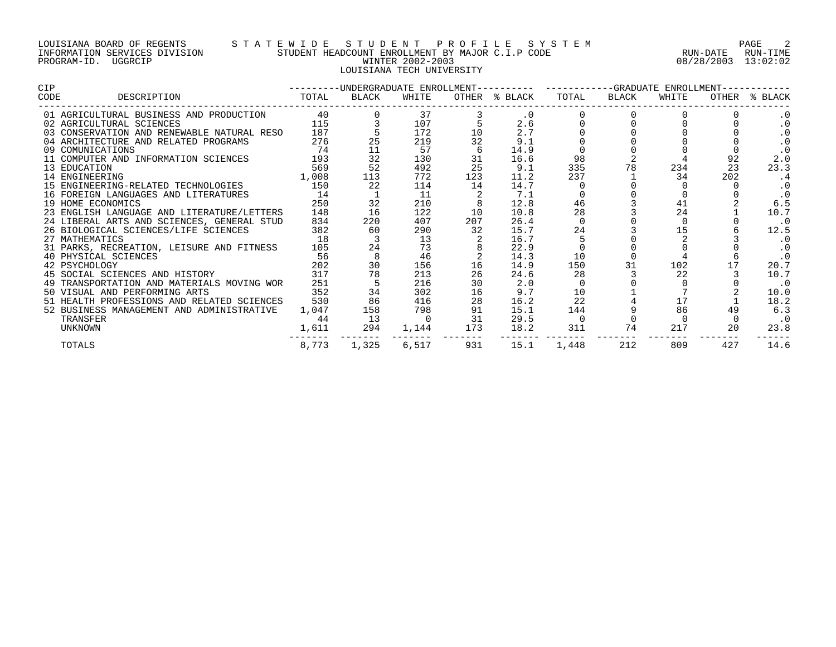### LOUISIANA BOARD OF REGENTS S T A T E W I D E S T U D E N T P R O F I L E S Y S T E M PAGE 2 INFORMATION SERVICES DIVISION STUDENT HEADCOUNT ENROLLMENT BY MAJOR C.I.P CODE RUN-DATE RUN-TIME PROGRAM-ID. UGGRCIP WINTER 2002-2003 08/28/2003 13:02:02 LOUISIANA TECH UNIVERSITY

| <b>CIP</b>                                 |       | ---------UNDERGRADUATE ENROLLMENT---------- ---------GRADUATE ENROLLMENT---------- |       |     |               |       |       |       |     |               |
|--------------------------------------------|-------|------------------------------------------------------------------------------------|-------|-----|---------------|-------|-------|-------|-----|---------------|
| DESCRIPTION<br>CODE                        | TOTAL | BLACK                                                                              | WHITE |     | OTHER % BLACK | TOTAL | BLACK | WHITE |     | OTHER % BLACK |
| 01 AGRICULTURAL BUSINESS AND PRODUCTION    | 40    |                                                                                    | 37    |     | $\cdot$ 0     |       |       |       |     | . 0           |
| 02 AGRICULTURAL SCIENCES                   |       | 115                                                                                | 107   |     | 2.6           |       |       |       |     | . 0           |
| 03 CONSERVATION AND RENEWABLE NATURAL RESO | 187   |                                                                                    | 172   | 10  | 2.7           |       |       |       |     | . 0           |
| 04 ARCHITECTURE AND RELATED PROGRAMS       | 276   |                                                                                    | 219   | 32  | 9.1           |       |       |       |     |               |
| 09 COMUNICATIONS                           | 74    | 11                                                                                 | 57    | 6   | 14.9          |       |       |       |     | $\cdot$ 0     |
| 11 COMPUTER AND INFORMATION SCIENCES 193   |       | 32                                                                                 | 130   | 31  | 16.6          | 98    |       |       | 92  | 2.0           |
| 13 EDUCATION                               | 569   | 52                                                                                 | 492   | 25  | 9.1           | 335   | 78    | 234   | 23  | 23.3          |
| 14 ENGINEERING                             | 1,008 | 113                                                                                | 772   | 123 | 11.2          | 237   |       | 34    | 202 | . 4           |
| 15 ENGINEERING-RELATED TECHNOLOGIES        | 150   | 22                                                                                 | 114   | 14  | 14.7          |       |       |       |     | . 0           |
| 16 FOREIGN LANGUAGES AND LITERATURES       | 14    |                                                                                    | 11    |     | 7.1           |       |       |       |     | $\cdot$ 0     |
| 19 HOME ECONOMICS                          | 250   | 32                                                                                 | 210   |     | 12.8          | 46    |       | 41    |     | 6.5           |
| 23 ENGLISH LANGUAGE AND LITERATURE/LETTERS | 148   | 16                                                                                 | 122   | 10  | 10.8          | 28    |       | 24    |     | 10.7          |
| 24 LIBERAL ARTS AND SCIENCES, GENERAL STUD | 834   | 220                                                                                | 407   | 207 | 26.4          |       |       |       |     | $\cdot$ 0     |
| 26 BIOLOGICAL SCIENCES/LIFE SCIENCES       | 382   | 60                                                                                 | 290   | 32  | 15.7          | 24    |       |       |     | 12.5          |
| 27 MATHEMATICS                             | 18    |                                                                                    | 13    |     | 16.7          |       |       |       |     | $\cdot$ 0     |
| 31 PARKS, RECREATION, LEISURE AND FITNESS  | 105   |                                                                                    | 73    |     | 22.9          |       |       |       |     | $\cdot$ 0     |
| 40 PHYSICAL SCIENCES                       | 56    |                                                                                    | 46    |     | 14.3          | 10    |       |       |     | $\cdot$ 0     |
| 42 PSYCHOLOGY                              | 202   | 30                                                                                 | 156   | 16  | 14.9          | 150   | 31    | 102   |     | 20.7          |
| 45 SOCIAL SCIENCES AND HISTORY 317         |       | 78                                                                                 | 213   | 26  | 24.6          | 28    |       | 22    |     | 10.7          |
| 49 TRANSPORTATION AND MATERIALS MOVING WOR | 251   |                                                                                    | 216   | 30  | 2.0           |       |       |       |     | $\cdot$ 0     |
| 50 VISUAL AND PERFORMING ARTS              | 352   | 34                                                                                 | 302   | 16  | 9.7           | 10    |       |       |     | 10.0          |
| 51 HEALTH PROFESSIONS AND RELATED SCIENCES | 530   | 86                                                                                 | 416   | 28  | 16.2          | 22    |       | 17    |     | 18.2          |
| 52 BUSINESS MANAGEMENT AND ADMINISTRATIVE  | 1,047 | 158                                                                                | 798   | 91  | 15.1          | 144   |       | 86    | 49  | 6.3           |
| TRANSFER                                   | 44    | 13                                                                                 |       | 31  | 29.5          |       |       |       |     | $\cdot$ 0     |
| UNKNOWN                                    | 1,611 | 294                                                                                | 1,144 | 173 | 18.2          | 311   | 74    | 217   | 20  | 23.8          |
| TOTALS                                     |       | 8,773 1,325                                                                        | 6,517 | 931 | 15.1          | 1,448 | 212   | 809   | 427 | 14.6          |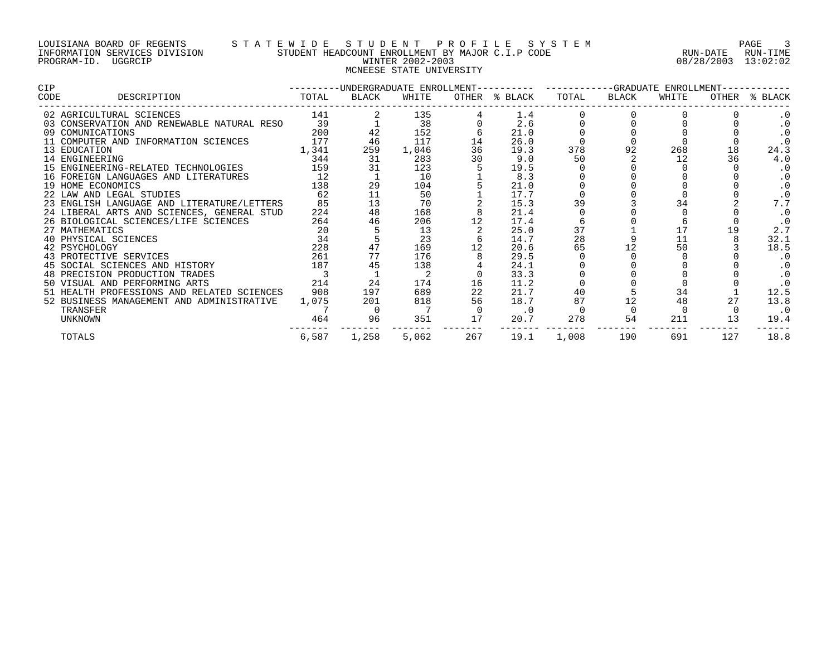## LOUISIANA BOARD OF REGENTS S T A T E W I D E S T U D E N T P R O F I L E S Y S T E M PAGE 3 INFORMATION SERVICES DIVISION STUDENT HEADCOUNT ENROLLMENT BY MAJOR C.I.P CODE RUN-DATE RUN-TIME PROGRAM-ID. UGGRCIP WINTER 2002-2003 08/28/2003 13:02:02 MCNEESE STATE UNIVERSITY

| CIP                                        |       | -UNDERGRADUATE ENROLLMENT---------- |       |     | ------------GRADUATE<br>ENROLLMENT |       |       |       |       |           |
|--------------------------------------------|-------|-------------------------------------|-------|-----|------------------------------------|-------|-------|-------|-------|-----------|
| DESCRIPTION<br>CODE                        | TOTAL | BLACK                               | WHITE |     | OTHER % BLACK                      | TOTAL | BLACK | WHITE | OTHER | % BLACK   |
| 02 AGRICULTURAL SCIENCES                   | 141   |                                     | 135   |     | 1.4                                |       |       |       |       |           |
| 03 CONSERVATION AND RENEWABLE NATURAL RESO | 39    |                                     | 38    |     | 2.6                                |       |       |       |       |           |
| 09 COMUNICATIONS                           | 200   |                                     | 152   |     | 21.0                               |       |       |       |       |           |
| 11 COMPUTER AND INFORMATION SCIENCES       | 177   | 46                                  | 117   | 14  | 26.0                               |       |       |       |       |           |
| 13 EDUCATION                               | 1,341 | 259                                 | 1,046 | 36  | 19.3                               | 378   | 92    | 268   | 18    | 24.3      |
| 14 ENGINEERING                             | 344   | 31                                  | 283   | 30  | 9.0                                | 50    |       | 12    | 36    | 4.0       |
| 15 ENGINEERING-RELATED TECHNOLOGIES        | 159   | 31                                  | 123   |     | 19.5                               |       |       |       |       | . 0       |
| 16 FOREIGN LANGUAGES AND LITERATURES       | 12    |                                     | 10    |     | 8.3                                |       |       |       |       |           |
| 19 HOME ECONOMICS                          | 138   | 29                                  | 104   |     | 21.0                               |       |       |       |       |           |
| 22 LAW AND LEGAL STUDIES                   | 62    |                                     | 50    |     | 17.7                               |       |       |       |       |           |
| 23 ENGLISH LANGUAGE AND LITERATURE/LETTERS | 85    | 13                                  | 70    |     | 15.3                               | 39    |       |       |       |           |
| 24 LIBERAL ARTS AND SCIENCES, GENERAL STUD | 224   | 48                                  | 168   |     | 21.4                               |       |       |       |       | . 0       |
| 26 BIOLOGICAL SCIENCES/LIFE SCIENCES       | 264   | 46                                  | 206   |     | 17.4                               |       |       |       |       |           |
| 27 MATHEMATICS                             | 20    |                                     | 13    |     | 25.0                               | 37    |       | 17    | 19    | 2.7       |
| 40 PHYSICAL SCIENCES                       | 34    |                                     | 23    |     | 14.7                               | 28    |       | 11    |       | 32.1      |
| 42 PSYCHOLOGY                              | 228   |                                     | 169   |     | 20.6                               | 65    |       | 50    |       | 18.5      |
| 43 PROTECTIVE SERVICES                     | 261   | 77                                  | 176   |     | 29.5                               |       |       |       |       |           |
| 45 SOCIAL SCIENCES AND HISTORY             | 187   | 45                                  | 138   |     | 24.1                               |       |       |       |       |           |
| 48 PRECISION PRODUCTION TRADES             |       |                                     |       |     | 33.3                               |       |       |       |       |           |
| 50 VISUAL AND PERFORMING ARTS              | 214   | 24                                  | 174   | 16  | 11.2                               |       |       |       |       |           |
| 51 HEALTH PROFESSIONS AND RELATED SCIENCES | 908   | 197                                 | 689   |     | 21.7                               | 40    |       | 34    |       | 12.5      |
| 52 BUSINESS MANAGEMENT AND ADMINISTRATIVE  | 1,075 | 201                                 | 818   | 56  | 18.7                               | 87    | 12    | 48    |       | 13.8      |
| TRANSFER                                   |       |                                     |       |     | $\cdot$ 0                          |       |       |       |       | $\cdot$ 0 |
| <b>UNKNOWN</b>                             | 464   | 96                                  | 351   | 17  | 20.7                               | 278   | 54    | 211   | 13    | 19.4      |
| TOTALS                                     | 6,587 | 1,258                               | 5,062 | 267 | 19.1                               | 1,008 | 190   | 691   | 127   | 18.8      |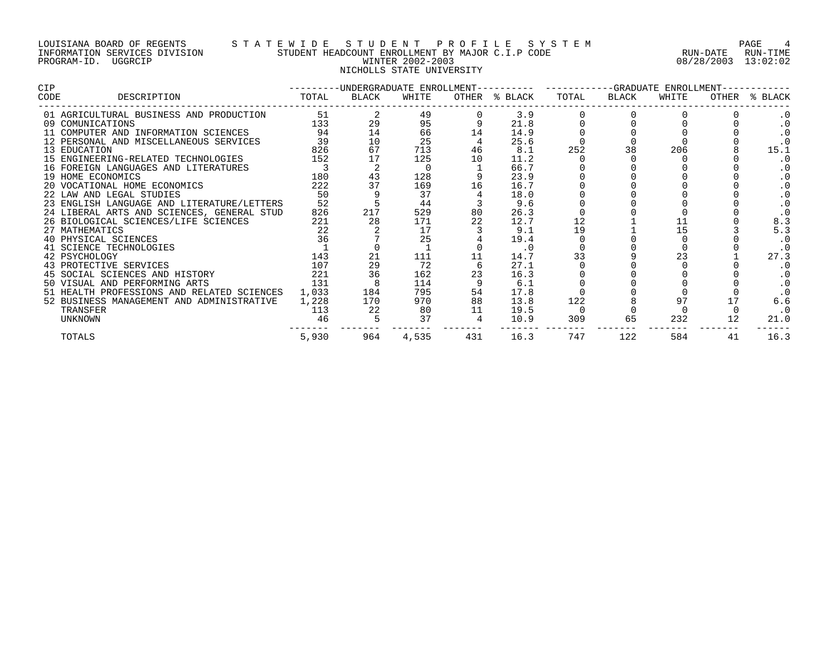### LOUISIANA BOARD OF REGENTS S T A T E W I D E S T U D E N T P R O F I L E S Y S T E M PAGE 4 INFORMATION SERVICES DIVISION STUDENT HEADCOUNT ENROLLMENT BY MAJOR C.I.P CODE RUN-DATE RUN-TIME PROGRAM-ID. UGGRCIP WINTER 2002-2003 08/28/2003 13:02:02 NICHOLLS STATE UNIVERSITY

| CIP                                        |       |       |       | ---------UNDERGRADUATE ENROLLMENT---------- ----------GRADUATE ENROLLMENT-- |               |       |       |       |    |               |
|--------------------------------------------|-------|-------|-------|-----------------------------------------------------------------------------|---------------|-------|-------|-------|----|---------------|
| DESCRIPTION<br>CODE                        | TOTAL | BLACK | WHITE |                                                                             | OTHER % BLACK | TOTAL | BLACK | WHITE |    | OTHER % BLACK |
| 01 AGRICULTURAL BUSINESS AND PRODUCTION    | 51    |       | 49    |                                                                             | 3.9           |       |       |       |    | . 0           |
| 09 COMUNICATIONS                           | 133   | 29    | 95    |                                                                             | 21.8          |       |       |       |    |               |
| 11 COMPUTER AND INFORMATION SCIENCES       | 94    | 14    | 66    | 14                                                                          | 14.9          |       |       |       |    |               |
| 12 PERSONAL AND MISCELLANEOUS SERVICES     | 39    | 10    | 25    |                                                                             | 25.6          |       |       |       |    |               |
| 13 EDUCATION                               | 826   | 67    | 713   | 46                                                                          | 8.1           | 252   |       | 206   |    | 15.1          |
| 15 ENGINEERING-RELATED TECHNOLOGIES        | 152   |       | 125   | 10                                                                          | 11.2          |       |       |       |    | . 0           |
| 16 FOREIGN LANGUAGES AND LITERATURES       |       |       |       |                                                                             | 66.7          |       |       |       |    | . 0           |
| 19 HOME ECONOMICS                          | 180   |       | 128   |                                                                             | 23.9          |       |       |       |    | . 0           |
| 20 VOCATIONAL HOME ECONOMICS               | 222   |       | 169   | 16                                                                          | 16.7          |       |       |       |    | . 0           |
| 22 LAW AND LEGAL STUDIES                   | 50    |       | 37    |                                                                             | 18.0          |       |       |       |    | . 0           |
| 23 ENGLISH LANGUAGE AND LITERATURE/LETTERS | 52    |       | 44    |                                                                             | 9.6           |       |       |       |    |               |
| 24 LIBERAL ARTS AND SCIENCES, GENERAL STUD | 826   | 217   | 529   | 80                                                                          | 26.3          |       |       |       |    |               |
| 26 BIOLOGICAL SCIENCES/LIFE SCIENCES       | 221   | 28    | 171   | 22                                                                          | 12.7          | 12    |       |       |    | 8.3           |
| 27 MATHEMATICS                             | 22    |       | 17    |                                                                             | 9.1           | 19    |       | 15    |    | 5.3           |
| 40 PHYSICAL SCIENCES                       | 36    |       | 25    |                                                                             | 19.4          |       |       |       |    |               |
| 41 SCIENCE TECHNOLOGIES                    |       |       |       |                                                                             | $\cdot$ 0     |       |       |       |    |               |
| 42 PSYCHOLOGY                              | 143   | 21    | 111   | 11                                                                          | 14.7          | 33    |       | 23    |    | 27.3          |
| 43 PROTECTIVE SERVICES                     | 107   | 29    | 72    |                                                                             | 27.1          |       |       |       |    | $\cdot$ 0     |
| 45 SOCIAL SCIENCES AND HISTORY             | 221   | 36    | 162   | 23                                                                          | 16.3          |       |       |       |    | . 0           |
| 50 VISUAL AND PERFORMING ARTS              | 131   |       | 114   |                                                                             | 6.1           |       |       |       |    | $\cdot$ 0     |
| 51 HEALTH PROFESSIONS AND RELATED SCIENCES | 1,033 | 184   | 795   | 54                                                                          | 17.8          |       |       |       |    |               |
| 52 BUSINESS MANAGEMENT AND ADMINISTRATIVE  | 1,228 | 170   | 970   | 88                                                                          | 13.8          | 122   |       |       |    | 6.6           |
| TRANSFER                                   | 113   | 22    | 80    | 11                                                                          | 19.5          |       |       |       |    | . 0           |
| <b>UNKNOWN</b>                             | 46    |       | 37    |                                                                             | 10.9          | 309   | 65    | 232   |    | 21.0          |
| TOTALS                                     | 5,930 | 964   | 4,535 | 431                                                                         | 16.3          | 747   | 122   | 584   | 41 | 16.3          |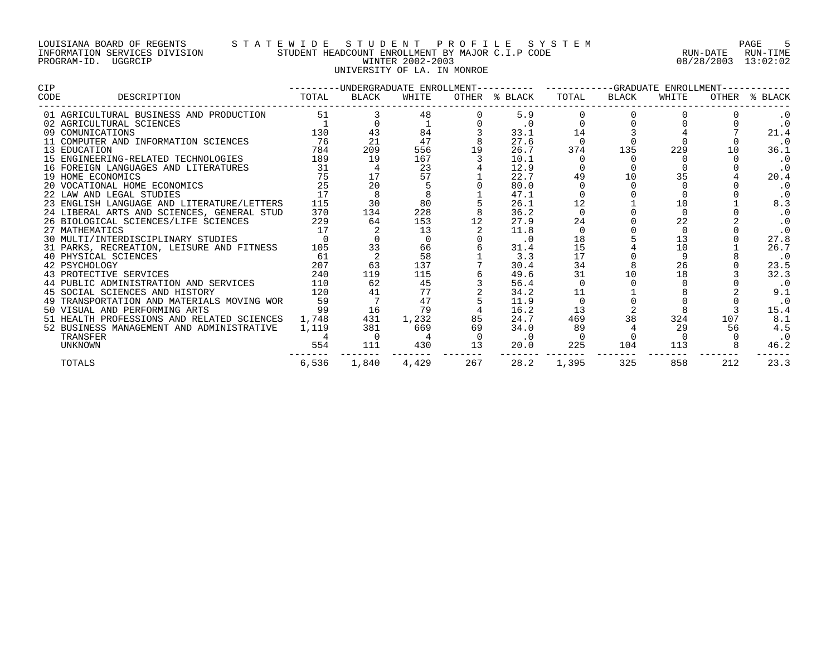### LOUISIANA BOARD OF REGENTS S T A T E W I D E S T U D E N T P R O F I L E S Y S T E M PAGE 5 INFORMATION SERVICES DIVISION STUDENT HEADCOUNT ENROLLMENT BY MAJOR C.I.P CODE RUN-DATE RUN-TIME PROGRAM-ID. UGGRCIP WINTER 2002-2003 08/28/2003 13:02:02 UNIVERSITY OF LA. IN MONROE

| <b>CIP</b>                                 |          | ---------UNDERGRADUATE ENROLLMENT---------- ----------GRADUATE ENROLLMENT-- |          |     |               |          |       |       |     |               |  |  |
|--------------------------------------------|----------|-----------------------------------------------------------------------------|----------|-----|---------------|----------|-------|-------|-----|---------------|--|--|
| CODE<br>DESCRIPTION                        | TOTAL    | BLACK                                                                       | WHITE    |     | OTHER % BLACK | TOTAL    | BLACK | WHITE |     | OTHER % BLACK |  |  |
| 01 AGRICULTURAL BUSINESS AND PRODUCTION    | 51       |                                                                             | 48       |     | 5.9           |          |       |       |     | $\cdot$ 0     |  |  |
| 02 AGRICULTURAL SCIENCES                   |          |                                                                             |          |     | $\cdot$ 0     |          |       |       |     | $\cdot$ 0     |  |  |
| 09 COMUNICATIONS                           | 130      |                                                                             | 84       |     | 33.1          | 14       |       |       |     | 21.4          |  |  |
| 11 COMPUTER AND INFORMATION SCIENCES       | 76       | 21                                                                          | 47       |     | 27.6          |          |       |       |     | $\cdot$ 0     |  |  |
| 13 EDUCATION                               | 784      | 209                                                                         | 556      | 19  | 26.7          | 374      | 135   | 229   | 10  | 36.1          |  |  |
| 15 ENGINEERING-RELATED TECHNOLOGIES        | 189      | 19                                                                          | 167      |     | 10.1          |          |       |       |     | $\cdot$ 0     |  |  |
| 16 FOREIGN LANGUAGES AND LITERATURES       | 31       |                                                                             | 23       |     | 12.9          |          |       |       |     | $\cdot$ 0     |  |  |
| 19 HOME ECONOMICS                          | 75       |                                                                             | 57       |     | 22.7          | 49       | 10    | 35    |     | 20.4          |  |  |
| 20 VOCATIONAL HOME ECONOMICS               | 25       | 20                                                                          |          |     | 80.0          |          |       |       |     | . 0           |  |  |
| 22 LAW AND LEGAL STUDIES                   | 17       |                                                                             |          |     | 47.1          |          |       |       |     | $\cdot$ 0     |  |  |
| 23 ENGLISH LANGUAGE AND LITERATURE/LETTERS | 115      | 30                                                                          | 80       |     | 26.1          | 12       |       | 10    |     | 8.3           |  |  |
| 24 LIBERAL ARTS AND SCIENCES, GENERAL STUD | 370      | 134                                                                         | 228      |     | 36.2          | $\Omega$ |       |       |     | $\cdot$ 0     |  |  |
| 26 BIOLOGICAL SCIENCES/LIFE SCIENCES       | 229      | 64                                                                          | 153      |     | 27.9          | 24       |       | 22    |     | $\cdot$ 0     |  |  |
| 27 MATHEMATICS                             | 17       |                                                                             | 13       |     | 11.8          | $\Omega$ |       |       |     | $\cdot$ 0     |  |  |
| 30 MULTI/INTERDISCIPLINARY STUDIES         | $\Omega$ |                                                                             | $\Omega$ |     | $\cdot$ 0     | 18       |       | 13    |     | 27.8          |  |  |
| 31 PARKS, RECREATION, LEISURE AND FITNESS  | 105      | 33                                                                          | 66       |     | 31.4          | 15       |       | 10    |     | 26.7          |  |  |
| 40 PHYSICAL SCIENCES                       | 61       |                                                                             | 58       |     | 3.3           | 17       |       |       |     | $\cdot$ 0     |  |  |
| 42 PSYCHOLOGY                              | 207      | 63                                                                          | 137      |     | 30.4          | 34       |       | 26    |     | 23.5          |  |  |
| 43 PROTECTIVE SERVICES                     | 240      | 119                                                                         | 115      |     | 49.6          | 31       | 10    | 18    |     | 32.3          |  |  |
| 44 PUBLIC ADMINISTRATION AND SERVICES      | 110      | 62                                                                          | 45       |     | 56.4          |          |       |       |     | $\cdot$ 0     |  |  |
| 45 SOCIAL SCIENCES AND HISTORY             | 120      | 41                                                                          | 77       |     | 34.2          | 11       |       |       |     | 9.1           |  |  |
| 49 TRANSPORTATION AND MATERIALS MOVING WOR | 59       |                                                                             | 47       |     | 11.9          |          |       |       |     | $\cdot$ 0     |  |  |
| 50 VISUAL AND PERFORMING ARTS              | 99       | 16                                                                          | 79       |     | 16.2          | 13       |       |       |     | 15.4          |  |  |
| 51 HEALTH PROFESSIONS AND RELATED SCIENCES | 1,748    | 431                                                                         | 1,232    | 85  | 24.7          | 469      | 38    | 324   | 107 | 8.1           |  |  |
| 52 BUSINESS MANAGEMENT AND ADMINISTRATIVE  | 1,119    | 381                                                                         | 669      | 69  | 34.0          | 89       |       | 29    | 56  | 4.5           |  |  |
| TRANSFER                                   |          | $\overline{0}$                                                              |          |     | $\cdot$ 0     |          |       |       |     | $\cdot$ 0     |  |  |
| <b>UNKNOWN</b>                             | 554      | 111                                                                         | 430      | 13  | 20.0          | 225      | 104   | 113   |     | 46.2          |  |  |
| <b>TOTALS</b>                              | 6,536    | 1,840                                                                       | 4,429    | 267 | 28.2          | 1,395    | 325   | 858   | 212 | 23.3          |  |  |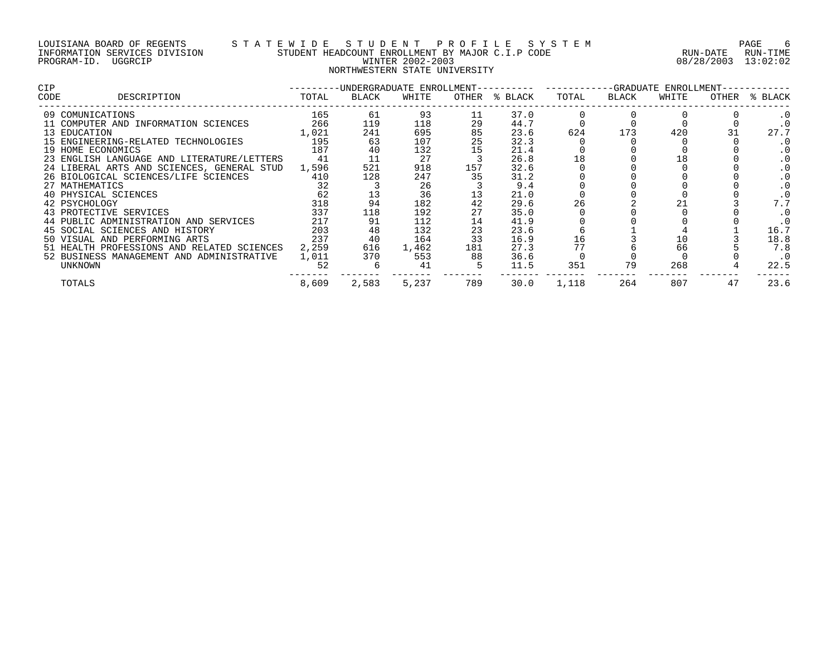### LOUISIANA BOARD OF REGENTS S T A T E W I D E S T U D E N T P R O F I L E S Y S T E M PAGE 6 INFORMATION SERVICES DIVISION STUDENT HEADCOUNT ENROLLMENT BY MAJOR C.I.P CODE RUN-DATE RUN-TIME PROGRAM-ID. UGGRCIP WINTER 2002-2003 08/28/2003 13:02:02 NORTHWESTERN STATE UNIVERSITY

| <b>CIP</b> |                                            | ---------UNDERGRADUATE ENROLLMENT---------- ---------GRADUATE ENROLLMENT-- |       |       |     |               |       |       |       |       |           |  |
|------------|--------------------------------------------|----------------------------------------------------------------------------|-------|-------|-----|---------------|-------|-------|-------|-------|-----------|--|
| CODE       | DESCRIPTION                                | TOTAL                                                                      | BLACK | WHITE |     | OTHER % BLACK | TOTAL | BLACK | WHITE | OTHER | % BLACK   |  |
|            | 09 COMUNICATIONS                           | 165                                                                        | 61    | 93    | 11  | 37.0          |       |       |       |       | . 0       |  |
|            | 11 COMPUTER AND INFORMATION SCIENCES       | 266                                                                        | 119   | 118   | 29  | 44.7          |       |       |       |       | . 0       |  |
|            | 13 EDUCATION                               | 1,021                                                                      | 241   | 695   | 85  | 23.6          | 624   | 173   | 420   |       | 27.7      |  |
|            | 15 ENGINEERING-RELATED TECHNOLOGIES        | 195                                                                        | 63    | 107   | 25  | 32.3          |       |       |       |       | . 0       |  |
|            | 19 HOME ECONOMICS                          | 187                                                                        | 40    | 132   | 15  | 21.4          |       |       |       |       | . 0       |  |
|            | 23 ENGLISH LANGUAGE AND LITERATURE/LETTERS | 41                                                                         | 11    | 27    |     | 26.8          | 18    |       | 18    |       | . 0       |  |
|            | 24 LIBERAL ARTS AND SCIENCES, GENERAL STUD | 1,596                                                                      | 521   | 918   | 157 | 32.6          |       |       |       |       | . 0       |  |
|            | 26 BIOLOGICAL SCIENCES/LIFE SCIENCES       | 410                                                                        | 128   | 247   | 35  | 31.2          |       |       |       |       | . 0       |  |
|            | 27 MATHEMATICS                             | 32                                                                         |       | 26    |     | 9.4           |       |       |       |       | . 0       |  |
|            | 40 PHYSICAL SCIENCES                       | 62                                                                         |       | 36    |     | 21.0          |       |       |       |       |           |  |
|            | 42 PSYCHOLOGY                              | 318                                                                        | 94    | 182   | 42  | 29.6          | 26    |       |       |       | 7.7       |  |
|            | 43 PROTECTIVE SERVICES                     | 337                                                                        | 118   | 192   | 27  | 35.0          |       |       |       |       | . 0       |  |
|            | 44 PUBLIC ADMINISTRATION AND SERVICES      | 217                                                                        | 91    | 112   | 14  | 41.9          |       |       |       |       | . 0       |  |
|            | 45 SOCIAL SCIENCES AND HISTORY             | 203                                                                        | 48    | 132   | 23  | 23.6          |       |       |       |       | 16.7      |  |
|            | 50 VISUAL AND PERFORMING ARTS              | 237                                                                        | 40    | 164   | 33  | 16.9          | 16    |       | 10    |       | 18.8      |  |
|            | 51 HEALTH PROFESSIONS AND RELATED SCIENCES | 2,259                                                                      | 616   | 1,462 | 181 | 27.3          | 77    |       | 66    |       | 7.8       |  |
|            | 52 BUSINESS MANAGEMENT AND ADMINISTRATIVE  | 1,011                                                                      | 370   | 553   | 88  | 36.6          |       |       |       |       | $\cdot$ 0 |  |
|            | UNKNOWN                                    | 52                                                                         |       | 41    |     | 11.5          | 351   | 79    | 268   |       | 22.5      |  |
|            | TOTALS                                     | 8,609                                                                      | 2,583 | 5,237 | 789 | 30.0          | 1,118 | 264   | 807   | 47    | 23.6      |  |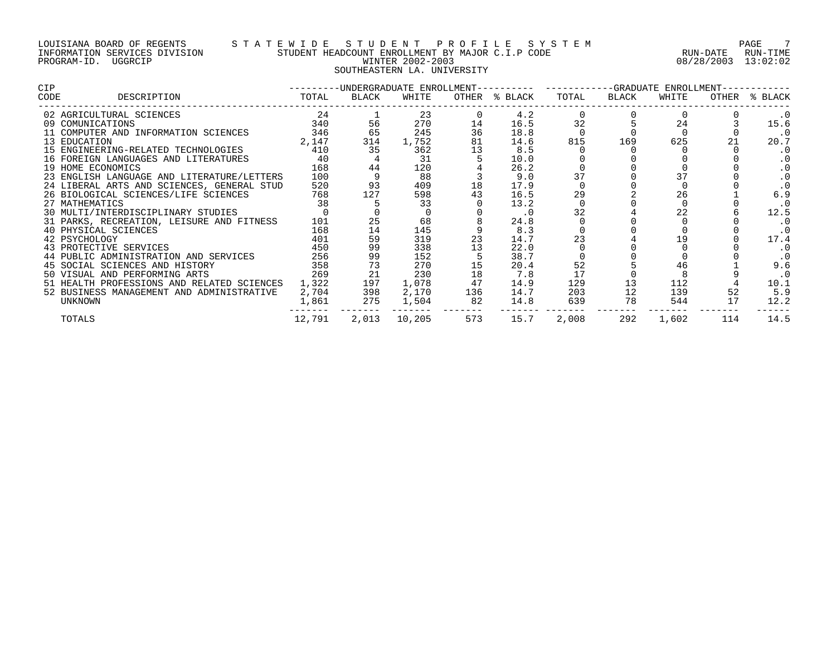### LOUISIANA BOARD OF REGENTS S T A T E W I D E S T U D E N T P R O F I L E S Y S T E M PAGE 7 INFORMATION SERVICES DIVISION STUDENT HEADCOUNT ENROLLMENT BY MAJOR C.I.P CODE RUN-DATE RUN-TIME PROGRAM-ID. UGGRCIP WINTER 2002-2003 08/28/2003 13:02:02 SOUTHEASTERN LA. UNIVERSITY

| CIP  |                                            |        |       |        |     | ---------UNDERGRADUATE ENROLLMENT---------- ----------GRADUATE ENROLLMENT-- |          |       |       |     |               |
|------|--------------------------------------------|--------|-------|--------|-----|-----------------------------------------------------------------------------|----------|-------|-------|-----|---------------|
| CODE | DESCRIPTION                                | TOTAL  | BLACK | WHITE  |     | OTHER % BLACK                                                               | TOTAL    | BLACK | WHITE |     | OTHER % BLACK |
|      | 02 AGRICULTURAL SCIENCES                   | 24     |       | 23     |     | 4.2                                                                         | $\Omega$ |       |       |     | . 0           |
|      | 09 COMUNICATIONS                           | 340    | 56    | 270    | 14  | 16.5                                                                        | 32       |       | 24    |     | 15.6          |
|      | 11 COMPUTER AND INFORMATION SCIENCES       | 346    | 65    | 245    | 36  | 18.8                                                                        |          |       |       |     | $\cdot$ 0     |
|      | 13 EDUCATION                               | 2,147  | 314   | 1,752  | 81  | 14.6                                                                        | 815      | 169   | 625   | 21  | 20.7          |
|      | 15 ENGINEERING-RELATED TECHNOLOGIES        | 410    | 35    | 362    | 13  | 8.5                                                                         |          |       |       |     | $\cdot$ 0     |
|      | 16 FOREIGN LANGUAGES AND LITERATURES       | 40     |       | 31     |     | 10.0                                                                        |          |       |       |     | . 0           |
|      | 19 HOME ECONOMICS                          | 168    | 44    | 120    |     | 26.2                                                                        |          |       |       |     | . 0           |
|      | 23 ENGLISH LANGUAGE AND LITERATURE/LETTERS | 100    |       | 88     |     | 9.0                                                                         | 37       |       |       |     | . 0           |
|      | 24 LIBERAL ARTS AND SCIENCES, GENERAL STUD | 520    | 93    | 409    | 18  | 17.9                                                                        |          |       |       |     |               |
|      | 26 BIOLOGICAL SCIENCES/LIFE SCIENCES       | 768    | 127   | 598    | 43  | 16.5                                                                        | 29       |       | 26    |     | 6.9           |
|      | 27 MATHEMATICS                             | 38     |       | 33     |     | 13.2                                                                        |          |       |       |     | $\cdot$ 0     |
|      | 30 MULTI/INTERDISCIPLINARY STUDIES         |        |       |        |     | $\cdot$ 0                                                                   | 32       |       | 22    |     | 12.5          |
|      | 31 PARKS, RECREATION, LEISURE AND FITNESS  | 101    | 25    | 68     |     | 24.8                                                                        |          |       |       |     | $\cdot$ 0     |
|      | 40 PHYSICAL SCIENCES                       | 168    | 14    | 145    |     | 8.3                                                                         |          |       |       |     | $\cdot$ 0     |
|      | 42 PSYCHOLOGY                              | 401    | 59    | 319    | 23  | 14.7                                                                        | 23       |       |       |     | 17.4          |
|      | 43 PROTECTIVE SERVICES                     | 450    | 99    | 338    | 13  | 22.0                                                                        |          |       |       |     | $\cdot$ 0     |
|      | 44 PUBLIC ADMINISTRATION AND SERVICES      | 256    | 99    | 152    |     | 38.7                                                                        |          |       |       |     |               |
|      | 45 SOCIAL SCIENCES AND HISTORY             | 358    | 73    | 270    | 15  | 20.4                                                                        | 52       |       |       |     | 9.6           |
|      | 50 VISUAL AND PERFORMING ARTS              | 269    | 21    | 230    | 18  | 7.8                                                                         | 17       |       |       |     | $\cdot$ 0     |
|      | 51 HEALTH PROFESSIONS AND RELATED SCIENCES | 1,322  | 197   | 1,078  |     | 14.9                                                                        | 129      |       | 112   |     | 10.1          |
|      | 52 BUSINESS MANAGEMENT AND ADMINISTRATIVE  | 2,704  | 398   | 2,170  | 136 | 14.7                                                                        | 203      | 12    | 139   | 52  | 5.9           |
|      | UNKNOWN                                    | 1,861  | 275   | 1,504  | 82  | 14.8                                                                        | 639      | 78    | 544   | 17  | 12.2          |
|      | TOTALS                                     | 12,791 | 2,013 | 10,205 | 573 | 15.7                                                                        | 2,008    | 292   | 1,602 | 114 | 14.5          |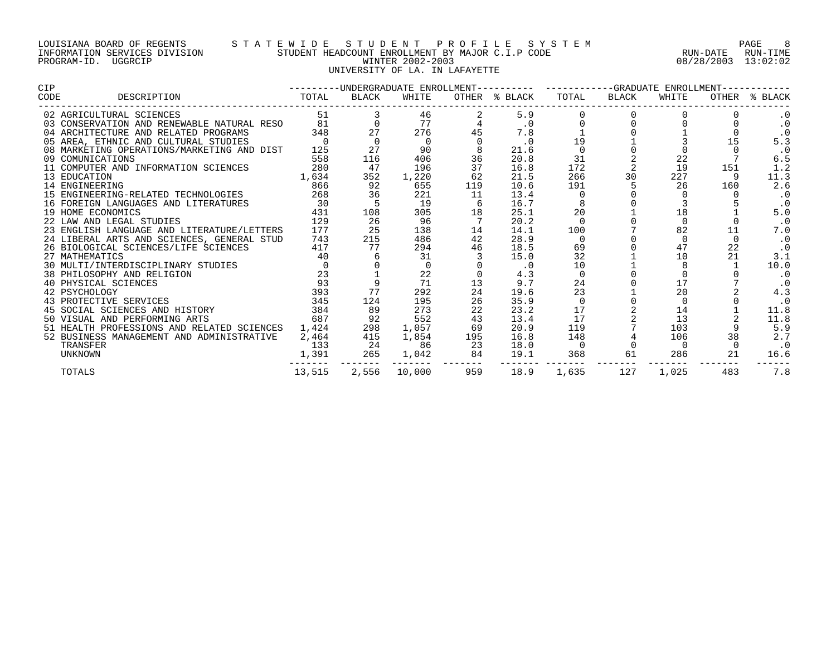## LOUISIANA BOARD OF REGENTS S T A T E W I D E S T U D E N T P R O F I L E S Y S T E M PAGE 8 INFORMATION SERVICES DIVISION STUDENT HEADCOUNT ENROLLMENT BY MAJOR C.I.P CODE RUN-DATE RUN-TIME PROGRAM-ID. UGGRCIP WINTER 2002-2003 08/28/2003 13:02:02 UNIVERSITY OF LA. IN LAFAYETTE

| <b>CIP</b>                                                                                                                           |        | ---------UNDERGRADUATE ENROLLMENT---------    ----------GRADUATE ENROLLMENT---- |              |          |               |                |       |          |     |               |
|--------------------------------------------------------------------------------------------------------------------------------------|--------|---------------------------------------------------------------------------------|--------------|----------|---------------|----------------|-------|----------|-----|---------------|
| DESCRIPTION<br>CODE                                                                                                                  | TOTAL  | BLACK                                                                           | WHITE        |          | OTHER % BLACK | TOTAL          | BLACK | WHITE    |     | OTHER % BLACK |
| 02 AGRICULTURAL SCIENCES                                                                                                             |        | 51 7                                                                            | 46           |          | 5.9           |                |       |          |     | $\cdot$ 0     |
| 03 CONSERVATION AND RENEWABLE NATURAL RESO 81                                                                                        |        |                                                                                 | 77           |          | $\cdot$ 0     |                |       |          |     | $\cdot$ 0     |
| 04 ARCHITECTURE AND RELATED PROGRAMS 348<br>05 AREA, ETHNIC AND CULTURAL STUDIES 0<br>08 MARKETING OPERATIONS/MARKETING AND DIST 125 |        | 27                                                                              | 276          | 45       | 7.8           |                |       |          |     | $\cdot$ 0     |
|                                                                                                                                      |        | $\overline{0}$                                                                  | $\Omega$     | $\Omega$ | $\cdot$ 0     | 19             |       |          |     | 5.3           |
|                                                                                                                                      |        | 27                                                                              | 90           |          | 21.6          | $\Omega$       |       |          |     | $\cdot$ 0     |
| 09 COMUNICATIONS                                                                                                                     | 558    | 116                                                                             | 406          | 36       | 20.8          | 31             |       | 22       |     | 6.5           |
| 11 COMPUTER AND INFORMATION SCIENCES                                                                                                 | 280    | 47                                                                              | 196          | 37       | 16.8          | 172            |       | 19       | 151 | 1.2           |
| 13 EDUCATION                                                                                                                         | 1,634  | 352                                                                             | 1,220        | 62       | 21.5          | 266            | 30    | 227      |     | 11.3          |
| 14 ENGINEERING                                                                                                                       | 866    | 92                                                                              | 655          | 119      | 10.6          | 191            | 5     | 26       | 160 | 2.6           |
| 15 ENGINEERING-RELATED TECHNOLOGIES 268                                                                                              |        | 36                                                                              | 221          | 11       | 13.4          |                |       |          |     | $\cdot$ 0     |
| 16 FOREIGN LANGUAGES AND LITERATURES                                                                                                 | 30     |                                                                                 | 19           |          | 16.7          |                |       |          |     | $\cdot$ 0     |
| 19 HOME ECONOMICS                                                                                                                    | 431    | 108                                                                             | 305          | 18       | 25.1          | 20             |       | 18       |     | 5.0           |
| 22 LAW AND LEGAL STUDIES                                                                                                             | 129    | 26                                                                              | 96           |          | 20.2          | $\Omega$       |       | $\Omega$ |     | $\cdot$ 0     |
| 23 ENGLISH LANGUAGE AND LITERATURE/LETTERS 177                                                                                       |        | 25                                                                              | 138          | 14       | 14.1          | 100            |       | 82       |     | 7.0           |
| 24 LIBERAL ARTS AND SCIENCES, GENERAL STUD 743                                                                                       |        | 215                                                                             | 486          | 42       | 28.9          | $\overline{0}$ |       |          |     | $\cdot$ 0     |
| 26 BIOLOGICAL SCIENCES/LIFE SCIENCES 417                                                                                             |        | 77                                                                              | 294          | 46       | 18.5          | 69             |       | 47       | 22  | $\cdot$ 0     |
| 27 MATHEMATICS                                                                                                                       | 40     |                                                                                 | 31           |          | 15.0          | 32             |       | 10       | 21  | 3.1           |
| 30 MULTI/INTERDISCIPLINARY STUDIES                                                                                                   |        |                                                                                 |              |          | $\cdot$ 0     | 10             |       |          |     | 10.0          |
| 38 PHILOSOPHY AND RELIGION                                                                                                           | 23     |                                                                                 | 22           |          | 4.3           | $\mathbf 0$    |       |          |     | $\cdot$ 0     |
| 40 PHYSICAL SCIENCES                                                                                                                 | 93     |                                                                                 | 71           | 13       | 9.7           | 24             |       | 17       |     | $\cdot$ 0     |
| 42 PSYCHOLOGY                                                                                                                        | 393    | 77                                                                              | 292          | 24       | 19.6          | 23             |       | 20       |     | 4.3           |
| 43 PROTECTIVE SERVICES                                                                                                               | 345    | 124                                                                             | 195          | 26       | 35.9          | $\mathbf 0$    |       |          |     | $\cdot$ 0     |
| 45 SOCIAL SCIENCES AND HISTORY                                                                                                       | 384    | 89                                                                              | 273          | 22       | 23.2          | 17             |       | 14       |     | 11.8          |
| 50 VISUAL AND PERFORMING ARTS                                                                                                        | 687    | 92                                                                              | 552          | 43       | 13.4          | 17             |       | 13       |     | 11.8          |
| 51 HEALTH PROFESSIONS AND RELATED SCIENCES                                                                                           | 1,424  | 298                                                                             | 1,057        | 69       | 20.9          | 119            |       | 103      |     | 5.9           |
| 52 BUSINESS MANAGEMENT AND ADMINISTRATIVE                                                                                            | 2,464  | 415                                                                             | 1,854        | 195      | 16.8          | 148            |       | 106      | 38  | 2.7           |
| TRANSFER                                                                                                                             | 133    | 24                                                                              | 86           | 23       | 18.0          | $\overline{0}$ |       | $\Omega$ |     | $\cdot$ 0     |
| <b>UNKNOWN</b>                                                                                                                       | 1,391  | 265                                                                             |              | 1,042 84 | 19.1          | 368            | 61    | 286      | 21  | 16.6          |
| <b>TOTALS</b>                                                                                                                        | 13,515 |                                                                                 | 2,556 10,000 | 959      | 18.9          | 1,635          | 127   | 1,025    | 483 | 7.8           |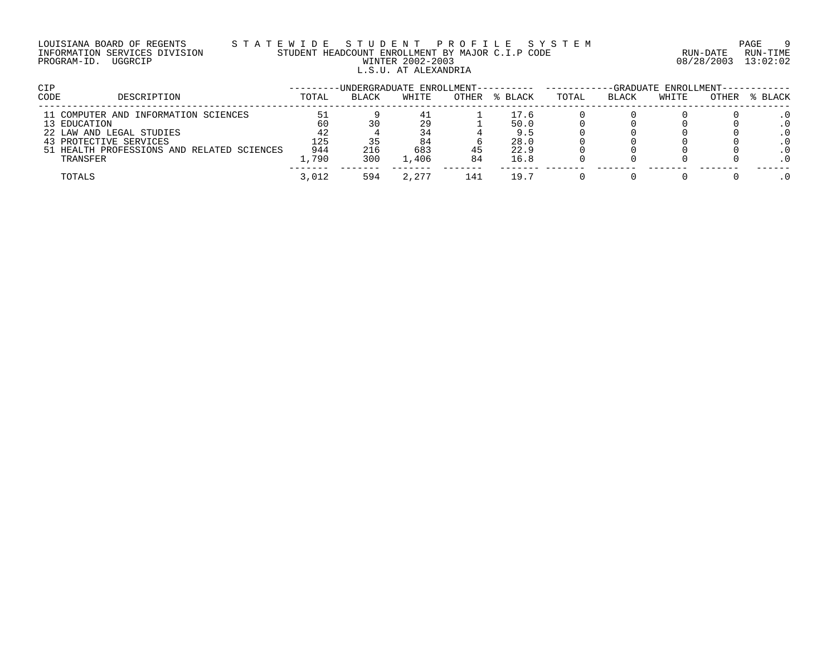## LOUISIANA BOARD OF REGENTS S T A T E W I D E S T U D E N T P R O F I L E S Y S T E M PAGE 9 INFORMATION SERVICES DIVISION STUDENT HEADCOUNT ENROLLMENT BY MAJOR C.I.P CODE RUN-DATE RUN-TIME PROGRAM-ID. UGGRCIP WINTER 2002-2003 08/28/2003 13:02:02 L.S.U. AT ALEXANDRIA

| CIP                                        |       | -UNDERGRADUATE ENROLLMENT---------- ------ |       |       |         |       |              | -GRADUATE ENROLLMENT------------ |       |         |
|--------------------------------------------|-------|--------------------------------------------|-------|-------|---------|-------|--------------|----------------------------------|-------|---------|
| CODE<br>DESCRIPTION                        | TOTAL | <b>BLACK</b>                               | WHITE | OTHER | % BLACK | TOTAL | <b>BLACK</b> | WHITE                            | OTHER | % BLACK |
| 11 COMPUTER AND INFORMATION SCIENCES       | 51    |                                            | 41    |       | 17.6    |       |              |                                  |       |         |
| 13 EDUCATION                               | 60    |                                            | 29    |       | 50.0    |       |              |                                  |       |         |
| 22 LAW AND LEGAL STUDIES                   | 42    |                                            | 34    |       | 9.5     |       |              |                                  |       |         |
| 43 PROTECTIVE SERVICES                     | 125.  |                                            | 84    |       | 28.0    |       |              |                                  |       |         |
| 51 HEALTH PROFESSIONS AND RELATED SCIENCES | 944   | 216                                        | 683   |       | 22.9    |       |              |                                  |       |         |
| TRANSFER                                   | .,790 | 300                                        | L.406 | 84    | 16.8    |       |              |                                  |       |         |
| TOTALS                                     | 3,012 | 594                                        | 2,277 | 141   | 19.7    |       |              |                                  |       |         |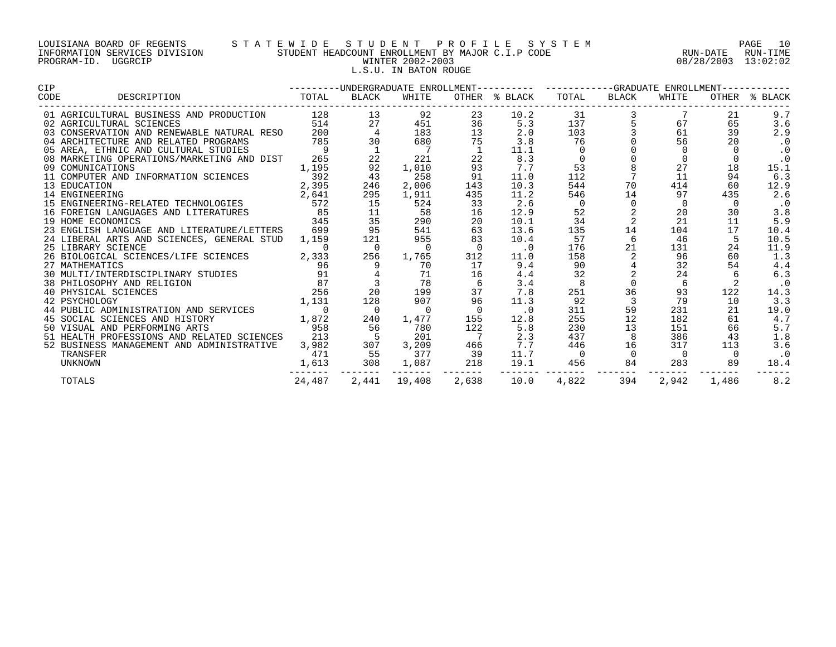# LOUISIANA BOARD OF REGENTS S T A T E W I D E S T U D E N T P R O F I L E S Y S T E M PAGE 10 INFORMATION SERVICES DIVISION STUDENT HEADCOUNT ENROLLMENT BY MAJOR C.I.P CODE RUN-DATE RUN-TIME PROGRAM-ID. UGGRCIP WINTER 2002-2003 08/28/2003 13:02:02 L.S.U. IN BATON ROUGE

| CIP                                                                   |                |                                          |                |                | ---------UNDERGRADUATE ENROLLMENT---------- ----------GRADUATE ENROLLMENT----------- |                |                                             |                |          |               |
|-----------------------------------------------------------------------|----------------|------------------------------------------|----------------|----------------|--------------------------------------------------------------------------------------|----------------|---------------------------------------------|----------------|----------|---------------|
| DESCRIPTION<br>CODE                                                   | TOTAL          | BLACK                                    | WHITE          |                | OTHER % BLACK                                                                        | TOTAL          | BLACK                                       | WHITE          |          | OTHER % BLACK |
| 01 AGRICULTURAL BUSINESS AND PRODUCTION                               | 128            | 13                                       | 92             | 23             | 10.2                                                                                 | 31             |                                             | $\frac{3}{5}$  | 21       | 9.7           |
| 02 AGRICULTURAL SCIENCES                                              | 514            | 27                                       | 451            | 36             | 5.3                                                                                  | 137            |                                             | 67             | 65       | 3.6           |
| 03 CONSERVATION AND RENEWABLE NATURAL RESO 200                        |                | $\overline{4}$                           | 183            | 13             | 2.0                                                                                  | 103            |                                             | 61             | 39       | 2.9           |
| 04 ARCHITECTURE AND RELATED PROGRAMS                                  | 785            | 30                                       | 680            | 75             | 3.8                                                                                  | 76             |                                             | 56             | 20       | . 0           |
| 05 AREA, ETHNIC AND CULTURAL STUDIES                                  | $\overline{9}$ | $\overline{1}$                           |                |                | 11.1                                                                                 | 0              | $\begin{bmatrix} 0 \\ 0 \\ 8 \end{bmatrix}$ |                |          | $\cdot$ 0     |
| 08 MARKETING OPERATIONS/MARKETING AND DIST                            | 265            | 22                                       | 221            | 22             | 8.3                                                                                  | $\overline{0}$ |                                             |                |          | $\cdot$ 0     |
| 09 COMUNICATIONS                                                      | 1,195          | 92                                       | 1,010          | 93             | 7.7                                                                                  | 53             |                                             | 27             | 18       | 15.1          |
| 11 COMPUTER AND INFORMATION SCIENCES                                  | 392            | 43                                       | 258            | 91             | 11.0                                                                                 | 112            |                                             | 11             | 94       | 6.3           |
| 13 EDUCATION                                                          | 2,395          | 246                                      | 2,006          | 143            | 10.3                                                                                 | 544            | 70                                          | 414            | 60       | 12.9          |
|                                                                       | 2,641          | 295                                      | 1,911          | 435            | 11.2                                                                                 | 546            | 14                                          | 97             | 435      | 2.6           |
| 13 EDUCATION<br>14 ENGINEERING<br>15 ENGINEERING-RELATED TECHNOLOGIES | 572            | 15                                       | 524            | 33             | 2.6                                                                                  | $\overline{0}$ | $\mathsf{O}$                                | $\mathbf 0$    | $\Omega$ | $\cdot$ 0     |
| 16 FOREIGN LANGUAGES AND LITERATURES                                  | 85             | 11                                       | 58             | 16             | 12.9                                                                                 | 52             | 2                                           | 20             | 30       | 3.8           |
| 19 HOME ECONOMICS                                                     | 345            | 35                                       | 290            | 20             | 10.1                                                                                 | 34             | 2                                           | 21             | 11       | 5.9           |
| 23 ENGLISH LANGUAGE AND LITERATURE/LETTERS 699                        |                | 95                                       | 541            | 63             | 13.6                                                                                 | 135            | 14                                          | 104            | 17       | 10.4          |
| 24 LIBERAL ARTS AND SCIENCES, GENERAL STUD 1,159                      |                | 121                                      | 955            | 83             | 10.4                                                                                 | 57             | 6                                           | 46             |          | 10.5          |
| 25 LIBRARY SCIENCE                                                    | $\Omega$       | $\overline{0}$                           | $\overline{0}$ | $\overline{0}$ | .0                                                                                   | 176            | 21                                          | 131            | 24       | 11.9          |
| 26 BIOLOGICAL SCIENCES/LIFE SCIENCES 2,333                            |                | 256                                      | 1,765          | 312            | 11.0                                                                                 | 158            | 2                                           | 96             | 60       | 1.3           |
| 27 MATHEMATICS                                                        | 96             |                                          | 70             | 17             | 9.4                                                                                  | 90             | $4\overline{ }$                             | 32             | 54       | 4.4           |
| 30 MULTI/INTERDISCIPLINARY STUDIES 91                                 |                |                                          | 71             | 16             | 4.4                                                                                  | 32             | $\overline{a}$                              | 24             |          | 6.3           |
| 38 PHILOSOPHY AND RELIGION                                            |                |                                          | 78             |                | 3.4                                                                                  | -8             | 0                                           | 6              |          | $\cdot$ 0     |
| 40 PHYSICAL SCIENCES                                                  |                | 20                                       | 199            | 37             | 7.8                                                                                  | 251            | 36                                          | 93             | 122      | 14.3          |
| 87<br>GION 256<br>1,131<br>42 PSYCHOLOGY                              |                | 128                                      | 907            | 96             | 11.3                                                                                 | 92             |                                             | 79             | 10       | 3.3           |
| 44 PUBLIC ADMINISTRATION AND SERVICES                                 | $\overline{0}$ | $\overline{0}$                           | $\overline{0}$ | $\overline{0}$ | $\cdot$ 0                                                                            | 311            | 59                                          | 231            | 21       | 19.0          |
| 1,872<br>45 SOCIAL SCIENCES AND HISTORY                               |                | 240                                      | 1,477          | 155            | 12.8                                                                                 | 255            | 12                                          | 182            | 61       | 4.7           |
| 50 VISUAL AND PERFORMING ARTS                                         | 958            | 56                                       | 780            | 122            | 5.8                                                                                  | 230            | 13                                          | 151            | 66       | 5.7           |
| 51 HEALTH PROFESSIONS AND RELATED SCIENCES                            | 213            | 5                                        | 201            |                | 2.3                                                                                  | 437            | 8                                           | 386            | 43       | 1.8           |
| 52 BUSINESS MANAGEMENT AND ADMINISTRATIVE                             | 3,982          | $\begin{array}{c} 307 \\ 55 \end{array}$ | 3,209          | 466            | 7.7                                                                                  | 446            | 16                                          | 317            | 113      | 3.6           |
| TRANSFER                                                              | 471            |                                          | 377            | $\frac{1}{39}$ | 11.7                                                                                 | $\overline{0}$ | $\overline{0}$                              | $\overline{0}$ | $\Omega$ | $\cdot$ 0     |
| UNKNOWN                                                               | 1,613          | 308                                      | 1,087          | 218            | 19.1                                                                                 | 456            | 84                                          | 283            | 89       | 18.4          |
| TOTALS                                                                | 24,487         | -------<br>2,441                         | 19,408         | 2,638          | 10.0                                                                                 | 4,822          | 394                                         | 2,942          | 1,486    | 8.2           |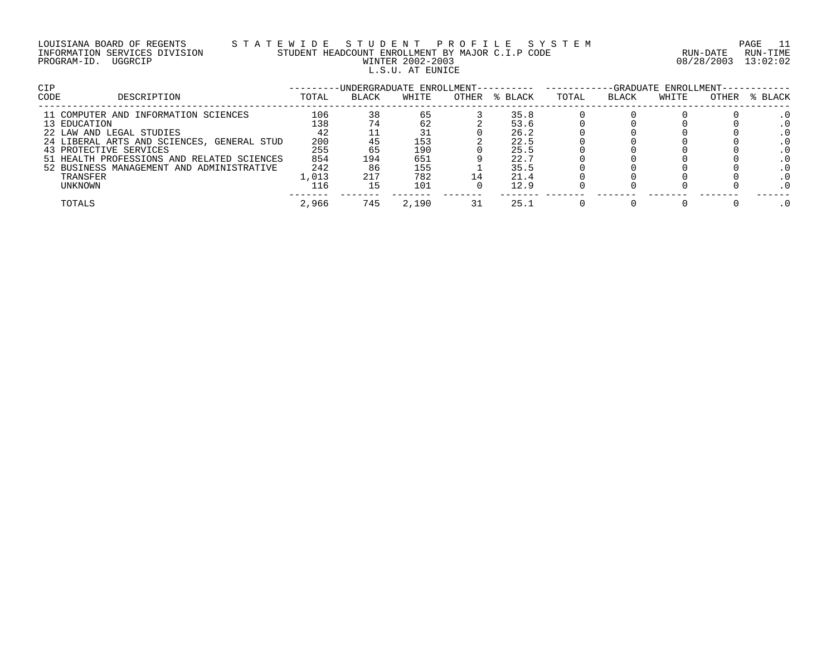| LOUISIANA BOARD OF REGENTS    |  |  |
|-------------------------------|--|--|
| INFORMATION SERVICES DIVISION |  |  |
| PROGRAM-ID. UGGRCIP           |  |  |

# LOUISIANA BOARD OF REGENTS S T A T E W I D E S T U D E N T P R O F I L E S Y S T E M PAGE 11 INFORMATION SERVICES DIVISION STUDENT HEADCOUNT ENROLLMENT BY MAJOR C.I.P CODE RUN-DATE RUN-TIME WINTER 2002-2003 **DEGREE 2002-2003 DEGREE 2002-2003** L.S.U. AT EUNICE

| <b>CIP</b> |                                            |       | -UNDERGRADUATE ENROLLMENT---------- |       |       |         | -GRADUATE ENROLLMENT-- |       |       |       |         |
|------------|--------------------------------------------|-------|-------------------------------------|-------|-------|---------|------------------------|-------|-------|-------|---------|
| CODE       | DESCRIPTION                                | TOTAL | BLACK                               | WHITE | OTHER | % BLACK | TOTAL                  | BLACK | WHITE | OTHER | % BLACK |
|            | 11 COMPUTER AND INFORMATION SCIENCES       | 106   | 38                                  | 65    |       | 35.8    |                        |       |       |       |         |
|            | 13 EDUCATION                               | L38   |                                     | 62    |       | 53.6    |                        |       |       |       |         |
|            | 22 LAW AND LEGAL STUDIES                   | 42    |                                     |       |       | 26.2    |                        |       |       |       |         |
|            | 24 LIBERAL ARTS AND SCIENCES, GENERAL STUD | 200   |                                     | 153   |       | 22.5    |                        |       |       |       |         |
|            | 43 PROTECTIVE SERVICES                     | 255   | 65                                  | 190   |       | 25.5    |                        |       |       |       |         |
|            | 51 HEALTH PROFESSIONS AND RELATED SCIENCES | 854   | 194                                 | 651   |       | 22.7    |                        |       |       |       |         |
|            | 52 BUSINESS MANAGEMENT AND ADMINISTRATIVE  | 242   | 86                                  | 155   |       | 35.5    |                        |       |       |       |         |
|            | TRANSFER                                   | 1,013 | 217                                 | 782   | 14    | 21.4    |                        |       |       |       |         |
|            | UNKNOWN                                    | ⊥l6   |                                     | 101   |       | 12.9    |                        |       |       |       |         |
|            | TOTALS                                     | 2,966 | 745                                 | 2,190 |       | 25.1    |                        |       |       |       |         |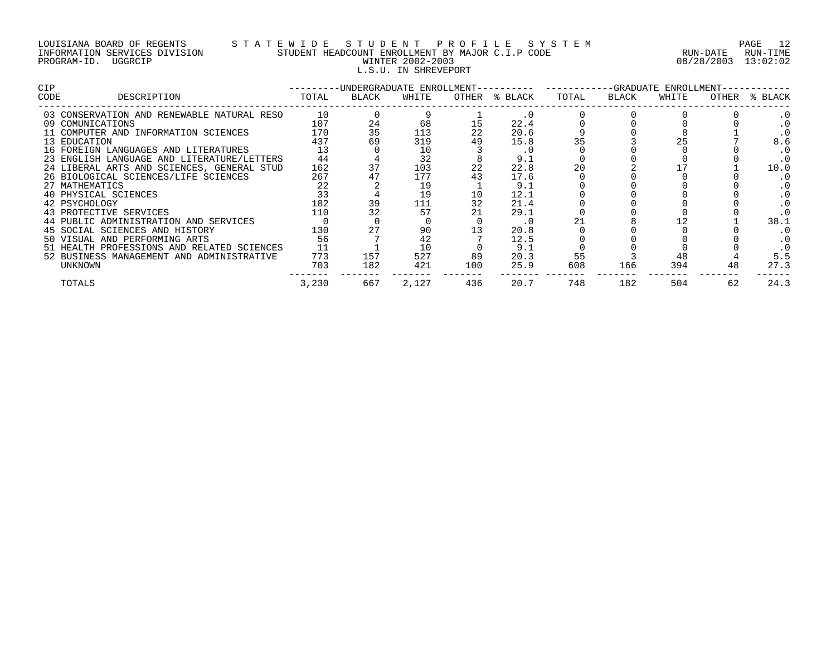## LOUISIANA BOARD OF REGENTS S T A T E W I D E S T U D E N T P R O F I L E S Y S T E M PAGE 12 INFORMATION SERVICES DIVISION STUDENT HEADCOUNT ENROLLMENT BY MAJOR C.I.P CODE RUN-DATE RUN-TIME PROGRAM-ID. UGGRCIP WINTER 2002-2003 08/28/2003 13:02:02 L.S.U. IN SHREVEPORT

| <b>CIP</b> |                                            |       |       |       |     |               | ---------DNDERGRADUATE_ENROLLMENT--------------------GRADUATE_ENROLLMENT-- |       |       |    |               |  |
|------------|--------------------------------------------|-------|-------|-------|-----|---------------|----------------------------------------------------------------------------|-------|-------|----|---------------|--|
| CODE       | DESCRIPTION                                | TOTAL | BLACK | WHITE |     | OTHER % BLACK | TOTAL                                                                      | BLACK | WHITE |    | OTHER % BLACK |  |
|            | 03 CONSERVATION AND RENEWABLE NATURAL RESO | 10    |       |       |     |               |                                                                            |       |       |    | . 0           |  |
|            | 09 COMUNICATIONS                           | 107   | 24    | 68    |     | 22.4          |                                                                            |       |       |    |               |  |
|            | 11 COMPUTER AND INFORMATION SCIENCES       | 170   | 35    | 113   | 22  | 20.6          |                                                                            |       |       |    |               |  |
|            | 13 EDUCATION                               | 437   |       | 319   | 49  | 15.8          |                                                                            |       |       |    | 8.6           |  |
|            | 16 FOREIGN LANGUAGES AND LITERATURES       | 13    |       | 10    |     | $\cdot$ 0     |                                                                            |       |       |    | . 0           |  |
|            | 23 ENGLISH LANGUAGE AND LITERATURE/LETTERS | 44    |       | 32    |     | 9.1           |                                                                            |       |       |    | . 0           |  |
|            | 24 LIBERAL ARTS AND SCIENCES, GENERAL STUD | 162   |       | 103   | 22  | 22.8          | 20                                                                         |       |       |    | 10.0          |  |
|            | 26 BIOLOGICAL SCIENCES/LIFE SCIENCES       | 267   |       | 177   |     | 17.6          |                                                                            |       |       |    |               |  |
|            | 27 MATHEMATICS                             | 22    |       | 19    |     | 9.1           |                                                                            |       |       |    |               |  |
|            | 40 PHYSICAL SCIENCES                       | 33    |       | 19    | 10  | 12.1          |                                                                            |       |       |    |               |  |
|            | 42 PSYCHOLOGY                              | 182   | 39    | 111   | 32  | 21.4          |                                                                            |       |       |    |               |  |
|            | 43 PROTECTIVE SERVICES                     | 110   |       | 57    |     | 29.1          |                                                                            |       |       |    | . 0           |  |
|            | 44 PUBLIC ADMINISTRATION AND SERVICES      |       |       |       |     | . 0           |                                                                            |       |       |    | 38.1          |  |
|            | 45 SOCIAL SCIENCES AND HISTORY             | 130   |       | 90    |     | 20.8          |                                                                            |       |       |    |               |  |
|            | 50 VISUAL AND PERFORMING ARTS              | 56    |       | 42    |     | 12.5          |                                                                            |       |       |    |               |  |
|            | 51 HEALTH PROFESSIONS AND RELATED SCIENCES |       |       | 10    |     | 9.1           |                                                                            |       |       |    |               |  |
|            | 52 BUSINESS MANAGEMENT AND ADMINISTRATIVE  | 773   | 157   | 527   | 89  | 20.3          | 55                                                                         |       |       |    | 5.5           |  |
|            | UNKNOWN                                    | 703   | 182   | 421   | 100 | 25.9          | 608                                                                        | 166   | 394   |    | 27.3          |  |
|            | TOTALS                                     | 3,230 | 667   | 2,127 | 436 | 20.7          | 748                                                                        | 182   | 504   | 62 | 24.3          |  |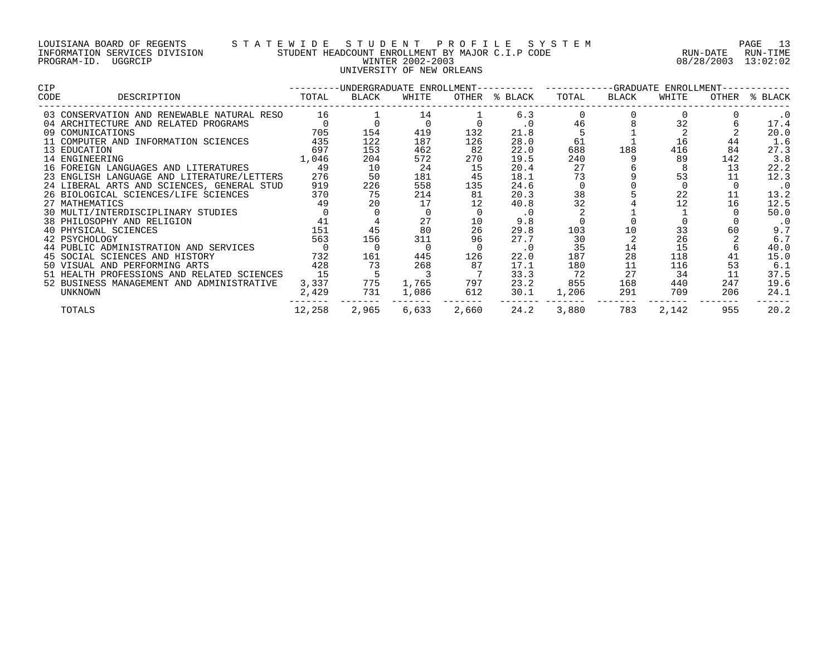### LOUISIANA BOARD OF REGENTS S T A T E W I D E S T U D E N T P R O F I L E S Y S T E M PAGE 13 INFORMATION SERVICES DIVISION STUDENT HEADCOUNT ENROLLMENT BY MAJOR C.I.P CODE RUN-DATE RUN-TIME PROGRAM-ID. UGGRCIP WINTER 2002-2003 08/28/2003 13:02:02 UNIVERSITY OF NEW ORLEANS

| <b>CIP</b>                         |                                            |        |       |       |       | ---------UNDERGRADUATE ENROLLMENT---------- ----------GRADUATE ENROLLMENT-- |       |       |       |     |               |
|------------------------------------|--------------------------------------------|--------|-------|-------|-------|-----------------------------------------------------------------------------|-------|-------|-------|-----|---------------|
| CODE                               | DESCRIPTION                                | TOTAL  | BLACK | WHITE |       | OTHER % BLACK                                                               | TOTAL | BLACK | WHITE |     | OTHER % BLACK |
|                                    | 03 CONSERVATION AND RENEWABLE NATURAL RESO | 16     |       | 14    |       | 6.3                                                                         |       |       |       |     | $\cdot$ 0     |
|                                    | 04 ARCHITECTURE AND RELATED PROGRAMS       |        |       |       |       | $\cdot$ 0                                                                   | 46    |       | 32    |     | 17.4          |
| 09 COMUNICATIONS                   |                                            | 705    | 154   | 419   | 132   | 21.8                                                                        |       |       |       |     | 20.0          |
|                                    | 11 COMPUTER AND INFORMATION SCIENCES       | 435    | 122   | 187   | 126   | 28.0                                                                        | 61    |       | 16    | 44  | 1.6           |
| 13 EDUCATION                       |                                            | 697    | 153   | 462   | 82    | 22.0                                                                        | 688   | 188   | 416   | 84  | 27.3          |
| 14 ENGINEERING                     |                                            | 1,046  | 204   | 572   | 270   | 19.5                                                                        | 240   |       | 89    | 142 | 3.8           |
|                                    | 16 FOREIGN LANGUAGES AND LITERATURES       | 49     | 10    | 24    | 15    | 20.4                                                                        | 27    |       |       | 13  | 22.2          |
|                                    | 23 ENGLISH LANGUAGE AND LITERATURE/LETTERS | 276    | 50    | 181   | 45    | 18.1                                                                        | 73    |       | 53    |     | 12.3          |
|                                    | 24 LIBERAL ARTS AND SCIENCES, GENERAL STUD | 919    | 226   | 558   | 135   | 24.6                                                                        |       |       |       |     | $\cdot$ 0     |
|                                    | 26 BIOLOGICAL SCIENCES/LIFE SCIENCES       | 370    | 75    | 214   | 81    | 20.3                                                                        | 38    |       | 22    |     | 13.2          |
| 27 MATHEMATICS                     |                                            | 49     | 20    | 17    |       | 40.8                                                                        | 32    |       | 12    | 16  | 12.5          |
| 30 MULTI/INTERDISCIPLINARY STUDIES |                                            |        |       |       |       |                                                                             |       |       |       |     | 50.0          |
| 38 PHILOSOPHY AND RELIGION         |                                            | 41     |       | 27    | 10    | 9.8                                                                         |       |       |       |     | $\cdot$ 0     |
| 40 PHYSICAL SCIENCES               |                                            | 151    | 45    | 80    | 26    | 29.8                                                                        | 103   | 10    | 33    | 60  | 9.7           |
| 42 PSYCHOLOGY                      |                                            | 563    | 156   | 311   | 96    | 27.7                                                                        | 30    |       | 26    |     | 6.7           |
|                                    | 44 PUBLIC ADMINISTRATION AND SERVICES      |        |       |       |       | $\cdot$ 0                                                                   | 35    | 14    | 15    |     | 40.0          |
| 45 SOCIAL SCIENCES AND HISTORY     |                                            | 732    | 161   | 445   | 126   | 22.0                                                                        | 187   | 28    | 118   | 41  | 15.0          |
| 50 VISUAL AND PERFORMING ARTS      |                                            | 428    | 73    | 268   | 87    | 17.1                                                                        | 180   | 11    | 116   | 53  | 6.1           |
|                                    | 51 HEALTH PROFESSIONS AND RELATED SCIENCES | 15     |       |       |       | 33.3                                                                        | 72    | 27    | 34    | 11  | 37.5          |
|                                    | 52 BUSINESS MANAGEMENT AND ADMINISTRATIVE  | 3,337  | 775   | 1,765 | 797   | 23.2                                                                        | 855   | 168   | 440   | 247 | 19.6          |
| UNKNOWN                            |                                            | 2,429  | 731   | 1,086 | 612   | 30.1                                                                        | 1,206 | 291   | 709   | 206 | 24.1          |
| TOTALS                             |                                            | 12,258 | 2,965 | 6,633 | 2,660 | 24.2                                                                        | 3,880 | 783   | 2,142 | 955 | 20.2          |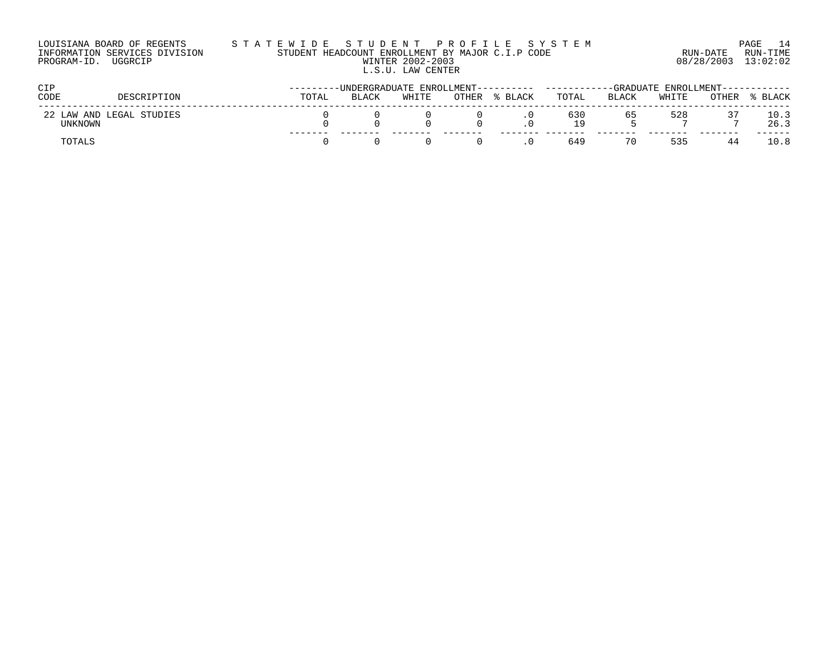| LOUISIANA BOARD OF REGENTS    | STATEWIDE STUDENT PROFILE SYSTEM                 |                     | PAGE 14  |
|-------------------------------|--------------------------------------------------|---------------------|----------|
| INFORMATION SERVICES DIVISION | STUDENT HEADCOUNT ENROLLMENT BY MAJOR C.I.P CODE | RUN-DATE            | RUN-TIME |
| PROGRAM-ID.<br>UGGRCIP        | WINTER 2002-2003                                 | 08/28/2003 13:02:02 |          |
|                               | L.S.U. LAW CENTER                                |                     |          |

| <b>CIP</b>                          |             |       | ------UNDERGRADUATE ENROLLMENT---------- | -----------GRADUATE ENROLLMENT------------ |       |       |            |       |       |       |              |
|-------------------------------------|-------------|-------|------------------------------------------|--------------------------------------------|-------|-------|------------|-------|-------|-------|--------------|
| CODE                                | DESCRIPTION | TOTAL | <b>BLACK</b>                             | WHITE                                      | OTHER | BLACK | TOTAL      | BLACK | WHITE | OTHER | BLACK        |
| 22 LAW AND LEGAL STUDIES<br>UNKNOWN |             |       |                                          |                                            |       |       | 630<br>1 Q | 65    | 528   | -     | 10.3<br>26.3 |
| TOTALS                              |             |       |                                          |                                            |       |       | 649        |       | 535   |       | $\bot0.8$    |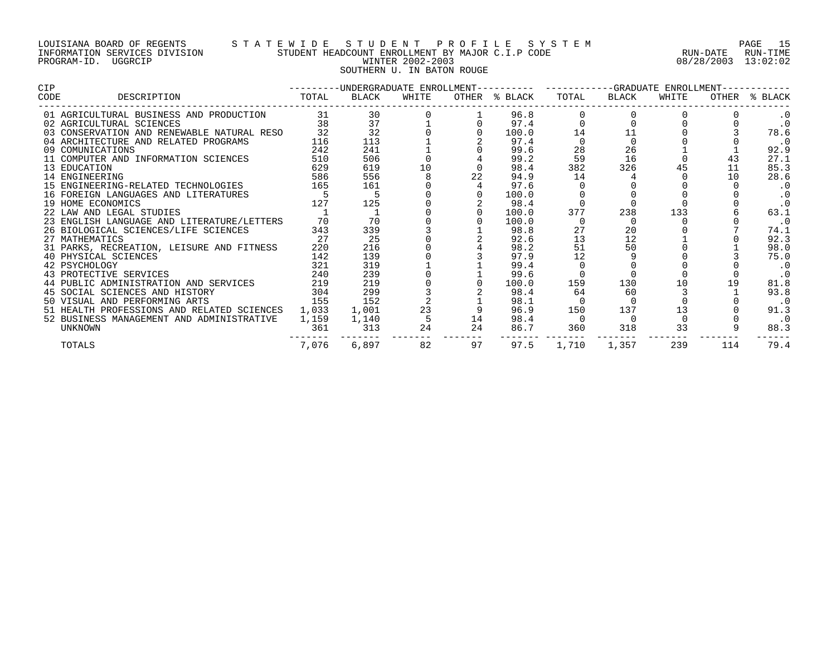# LOUISIANA BOARD OF REGENTS S T A T E W I D E S T U D E N T P R O F I L E S Y S T E M PAGE 15 INFORMATION SERVICES DIVISION STUDENT HEADCOUNT ENROLLMENT BY MAJOR C.I.P CODE RUN-DATE RUN-TIME PROGRAM-ID. UGGRCIP WINTER 2002-2003 08/28/2003 13:02:02 SOUTHERN U. IN BATON ROUGE

| <b>CIP</b>                                 |       |              | ---------UNDERGRADUATE ENROLLMENT---------- ----------GRADUATE ENROLLMENT----------- |    |               |          |          |       |     |               |
|--------------------------------------------|-------|--------------|--------------------------------------------------------------------------------------|----|---------------|----------|----------|-------|-----|---------------|
| DESCRIPTION<br>CODE                        | TOTAL | BLACK        | WHITE                                                                                |    | OTHER % BLACK | TOTAL    | BLACK    | WHITE |     | OTHER % BLACK |
| 01 AGRICULTURAL BUSINESS AND PRODUCTION    |       | 31 — 1<br>30 |                                                                                      |    | 96.8          |          |          |       |     | . 0           |
| 02 AGRICULTURAL SCIENCES                   | 38    | 37           |                                                                                      |    | 97.4          |          |          |       |     | $\cdot$ 0     |
| 03 CONSERVATION AND RENEWABLE NATURAL RESO | 32    | 32           |                                                                                      |    | 100.0         | 14       | 11       |       |     | 78.6          |
| 04 ARCHITECTURE AND RELATED PROGRAMS       | 116   | 113          |                                                                                      |    | 97.4          |          |          |       |     | $\cdot$ 0     |
| 09 COMUNICATIONS                           | 242   | 241          |                                                                                      |    | 99.6          | 28       | 26       |       |     | 92.9          |
| 11 COMPUTER AND INFORMATION SCIENCES       | 510   | 506          |                                                                                      |    | 99.2          | 59       | 16       |       | 43  | 27.1          |
| 13 EDUCATION                               | 629   | 619          | 10                                                                                   |    | 98.4          | 382      | 326      |       | 11  | 85.3          |
| 14 ENGINEERING                             | 586   | 556          |                                                                                      | 22 | 94.9          | 14       |          |       | 10  | 28.6          |
| 15 ENGINEERING-RELATED TECHNOLOGIES        | 165   | 161          |                                                                                      |    | 97.6          |          |          |       |     | $\cdot$ 0     |
| 16 FOREIGN LANGUAGES AND LITERATURES       |       |              |                                                                                      |    | 100.0         |          |          |       |     | $\cdot$ 0     |
| 19 HOME ECONOMICS                          | 127   | 125          |                                                                                      |    | 98.4          |          |          |       |     | $\cdot$ 0     |
| 22 LAW AND LEGAL STUDIES                   |       |              |                                                                                      |    | 100.0         | 377      | 238      | 133   |     | 63.1          |
| 23 ENGLISH LANGUAGE AND LITERATURE/LETTERS | 70    | 70           |                                                                                      |    | 100.0         |          | $\Omega$ |       |     | $\cdot$ 0     |
| 26 BIOLOGICAL SCIENCES/LIFE SCIENCES       | 343   | 339          |                                                                                      |    | 98.8          |          | 20       |       |     | 74.1          |
| 27 MATHEMATICS                             | 27    | 25           |                                                                                      |    | 92.6          | 13       | 12       |       |     | 92.3          |
| 31 PARKS, RECREATION, LEISURE AND FITNESS  | 220   | 216          |                                                                                      |    | 98.2          |          | 50       |       |     | 98.0          |
| 40 PHYSICAL SCIENCES                       | 142   | 139          |                                                                                      |    | 97.9          | 12       |          |       |     | 75.0          |
| 42 PSYCHOLOGY                              | 321   | 319          |                                                                                      |    | 99.4          |          |          |       |     | $\cdot$ 0     |
| 43 PROTECTIVE SERVICES                     | 240   | 239          |                                                                                      |    | 99.6          |          |          |       |     | $\cdot$ 0     |
| 44 PUBLIC ADMINISTRATION AND SERVICES      | 219   | 219          |                                                                                      |    | 100.0         | 159      | 130      | 10    | 19  | 81.8          |
| 45 SOCIAL SCIENCES AND HISTORY             | 304   | 299          |                                                                                      |    | 98.4          | 64       | 60       |       |     | 93.8          |
| 50 VISUAL AND PERFORMING ARTS              | 155   | 152          |                                                                                      |    | 98.1          |          | $\Omega$ |       |     | $\cdot$ 0     |
| 51 HEALTH PROFESSIONS AND RELATED SCIENCES | 1,033 | 1,001        | 23                                                                                   |    | 96.9          | 150      | 137      | 13    |     | 91.3          |
| 52 BUSINESS MANAGEMENT AND ADMINISTRATIVE  | 1,159 | 1,140        |                                                                                      | 14 | 98.4          | $\Omega$ | $\Omega$ |       |     | $\cdot$ 0     |
| <b>UNKNOWN</b>                             | 361   | 313          | 24                                                                                   | 24 | 86.7          | 360      | 318      | 33    |     | 88.3          |
| TOTALS                                     | 7,076 | 6,897        | 82                                                                                   | 97 | 97.5          | 1,710    | 1,357    | 239   | 114 | 79.4          |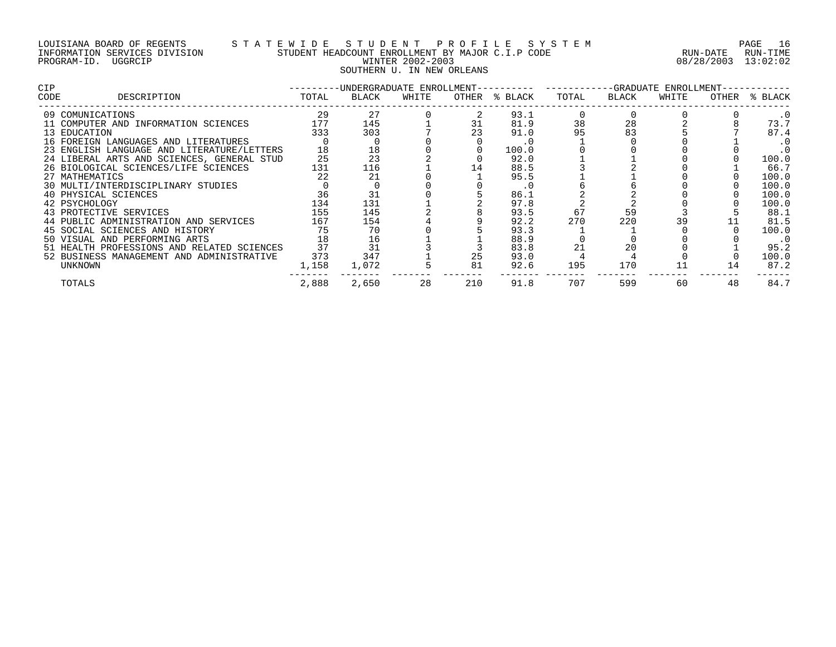## LOUISIANA BOARD OF REGENTS S T A T E W I D E S T U D E N T P R O F I L E S Y S T E M PAGE 16 INFORMATION SERVICES DIVISION STUDENT HEADCOUNT ENROLLMENT BY MAJOR C.I.P CODE RUN-DATE RUN-TIME PROGRAM-ID. UGGRCIP WINTER 2002-2003 08/28/2003 13:02:02 SOUTHERN U. IN NEW ORLEANS

| <b>CIP</b> |                                            | -------- |       |       |     |               | -UNDERGRADUATE ENROLLMENT---------- -----------GRADUATE ENROLLMENT-- |       |       |    |               |
|------------|--------------------------------------------|----------|-------|-------|-----|---------------|----------------------------------------------------------------------|-------|-------|----|---------------|
| CODE       | DESCRIPTION                                | TOTAL    | BLACK | WHITE |     | OTHER % BLACK | TOTAL                                                                | BLACK | WHITE |    | OTHER % BLACK |
|            | 09 COMUNICATIONS                           | 29       | 27    |       |     | 93.1          |                                                                      |       |       |    | $\cdot$ 0     |
|            | 11 COMPUTER AND INFORMATION SCIENCES       | 177      | 145   |       | 31  | 81.9          | 38                                                                   | 28    |       |    | 73.7          |
|            | 13 EDUCATION                               | 333      | 303   |       | 23  | 91.0          |                                                                      | 83    |       |    | 87.4          |
|            | 16 FOREIGN LANGUAGES AND LITERATURES       |          |       |       |     | $\cdot$ 0     |                                                                      |       |       |    | . 0           |
|            | 23 ENGLISH LANGUAGE AND LITERATURE/LETTERS | 18       | 18    |       |     | 100.0         |                                                                      |       |       |    | $\cdot$ 0     |
|            | 24 LIBERAL ARTS AND SCIENCES, GENERAL STUD | 25       | 23    |       |     | 92.0          |                                                                      |       |       |    | 100.0         |
|            | 26 BIOLOGICAL SCIENCES/LIFE SCIENCES       | 131      | 116   |       | 14  | 88.5          |                                                                      |       |       |    | 66.7          |
|            | 27 MATHEMATICS                             | 22       | 21    |       |     | 95.5          |                                                                      |       |       |    | 100.0         |
|            | 30 MULTI/INTERDISCIPLINARY STUDIES         |          |       |       |     | $\cdot$ 0     |                                                                      |       |       |    | 100.0         |
|            | 40 PHYSICAL SCIENCES                       | 36       |       |       |     | 86.1          |                                                                      |       |       |    | 100.0         |
|            | 42 PSYCHOLOGY                              | 134      | 131   |       |     | 97.8          |                                                                      |       |       |    | 100.0         |
|            | 43 PROTECTIVE SERVICES                     | 155      | 145   |       |     | 93.5          | 67                                                                   | 59    |       |    | 88.1          |
|            | 44 PUBLIC ADMINISTRATION AND SERVICES      | 167      | 154   |       |     | 92.2          | 270                                                                  | 220   |       |    | 81.5          |
|            | 45 SOCIAL SCIENCES AND HISTORY             | 75       | 70    |       |     | 93.3          |                                                                      |       |       |    | 100.0         |
|            | 50 VISUAL AND PERFORMING ARTS              | 18       | 16    |       |     | 88.9          |                                                                      |       |       |    | $\cdot$ 0     |
|            | 51 HEALTH PROFESSIONS AND RELATED SCIENCES | 37       | 31    |       |     | 83.8          | 21                                                                   | 20    |       |    | 95.2          |
|            | 52 BUSINESS MANAGEMENT AND ADMINISTRATIVE  | 373      | 347   |       | 25  | 93.0          |                                                                      |       |       |    | 100.0         |
|            | UNKNOWN                                    | 1,158    | 1,072 |       | 81  | 92.6          | 195                                                                  | 170   | 11    | 14 | 87.2          |
|            | TOTALS                                     | 2,888    | 2,650 | 28    | 210 | 91.8          | 707                                                                  | 599   | 60    | 48 | 84.7          |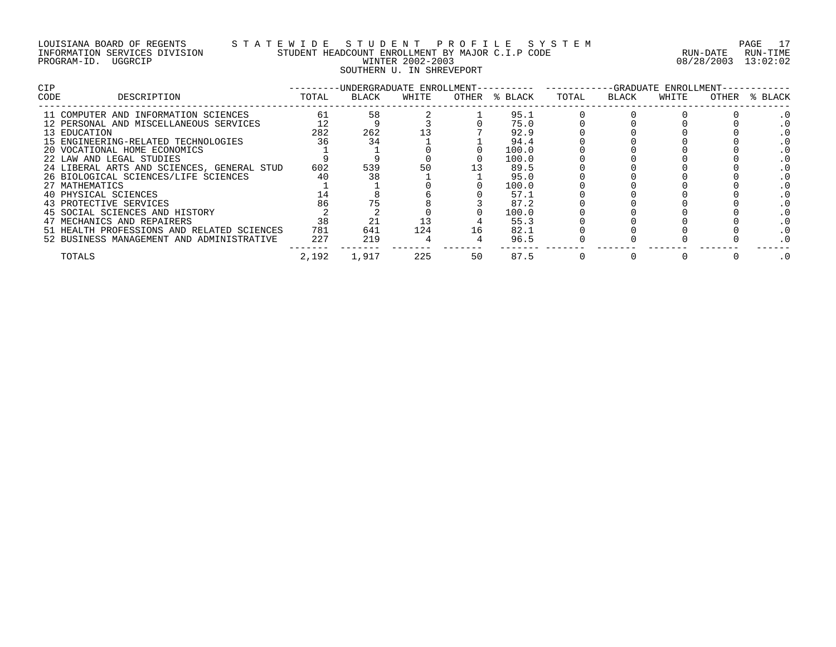### LOUISIANA BOARD OF REGENTS S T A T E W I D E S T U D E N T P R O F I L E S Y S T E M PAGE 17 INFORMATION SERVICES DIVISION STUDENT HEADCOUNT ENROLLMENT BY MAJOR C.I.P CODE RUN-DATE RUN-TIME PROGRAM-ID. UGGRCIP WINTER 2002-2003 08/28/2003 13:02:02 SOUTHERN U. IN SHREVEPORT

| <b>CIP</b> |                                            |       | -UNDERGRADUATE ENROLLMENT-- |       |    |               | -GRADUATE ENROLLMENT- |       |       |       |         |  |
|------------|--------------------------------------------|-------|-----------------------------|-------|----|---------------|-----------------------|-------|-------|-------|---------|--|
| CODE       | DESCRIPTION                                | TOTAL | BLACK                       | WHITE |    | OTHER % BLACK | TOTAL                 | BLACK | WHITE | OTHER | % BLACK |  |
|            | 11 COMPUTER AND INFORMATION SCIENCES       | 61    | 58                          |       |    | 95.1          |                       |       |       |       |         |  |
|            | 12 PERSONAL AND MISCELLANEOUS SERVICES     |       |                             |       |    | 75.0          |                       |       |       |       |         |  |
|            | 13 EDUCATION                               | 282   | 262                         |       |    | 92.9          |                       |       |       |       |         |  |
|            | 15 ENGINEERING-RELATED TECHNOLOGIES        | 36    |                             |       |    | 94.4          |                       |       |       |       |         |  |
|            | 20 VOCATIONAL HOME ECONOMICS               |       |                             |       |    | 100.0         |                       |       |       |       |         |  |
|            | 22 LAW AND LEGAL STUDIES                   |       |                             |       |    | 100.0         |                       |       |       |       |         |  |
|            | 24 LIBERAL ARTS AND SCIENCES, GENERAL STUD | 602   | 539                         | 50    |    | 89.5          |                       |       |       |       |         |  |
|            | 26 BIOLOGICAL SCIENCES/LIFE SCIENCES       | 40    |                             |       |    | 95.0          |                       |       |       |       |         |  |
|            | 27 MATHEMATICS                             |       |                             |       |    | 100.0         |                       |       |       |       |         |  |
|            | 40 PHYSICAL SCIENCES                       |       |                             |       |    | 57.1          |                       |       |       |       |         |  |
|            | 43 PROTECTIVE SERVICES                     | 86    |                             |       |    | 87.2          |                       |       |       |       |         |  |
|            | 45 SOCIAL SCIENCES AND HISTORY             |       |                             |       |    | 100.0         |                       |       |       |       |         |  |
|            | 47 MECHANICS AND REPAIRERS                 | 38    |                             |       |    | 55.3          |                       |       |       |       |         |  |
|            | 51 HEALTH PROFESSIONS AND RELATED SCIENCES | 781   | 641                         | 124   | 16 | 82.1          |                       |       |       |       |         |  |
|            | 52 BUSINESS MANAGEMENT AND ADMINISTRATIVE  | 227   | 219                         |       |    | 96.5          |                       |       |       |       |         |  |
|            | TOTALS                                     | 2,192 | 1,917                       | 225   | 50 | 87.5          |                       |       |       |       |         |  |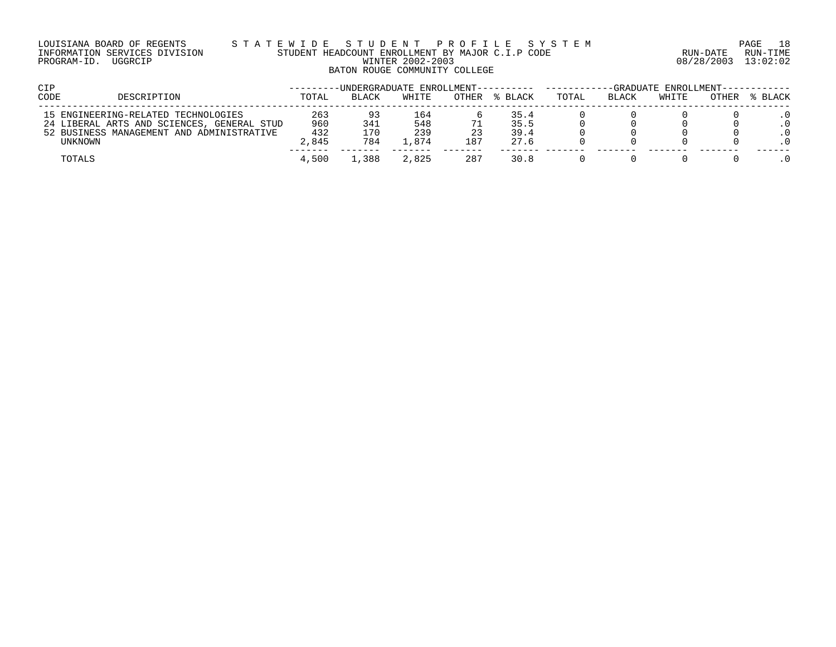### LOUISIANA BOARD OF REGENTS S T A T E W I D E S T U D E N T P R O F I L E S Y S T E M PAGE 18 INFORMATION SERVICES DIVISION STUDENT HEADCOUNT ENROLLMENT BY MAJOR C.I.P CODE RUN-DATE RUN-TIME PROGRAM-ID. UGGRCIP WINTER 2002-2003 08/28/2003 13:02:02 BATON ROUGE COMMUNITY COLLEGE

| CIP  |                                                                                   |              |              | -UNDERGRADUATE ENROLLMENT---------- |           |              | -GRADUATE ENROLLMENT--- |       |       |       |         |
|------|-----------------------------------------------------------------------------------|--------------|--------------|-------------------------------------|-----------|--------------|-------------------------|-------|-------|-------|---------|
| CODE | DESCRIPTION                                                                       | TOTAL        | <b>BLACK</b> | WHITE                               | OTHER     | % BLACK      | TOTAL                   | BLACK | WHITE | OTHER | % BLACK |
|      | 15 ENGINEERING-RELATED TECHNOLOGIES<br>24 LIBERAL ARTS AND SCIENCES, GENERAL STUD | 263<br>960   | 341          | 164<br>548                          |           | 35.4<br>35.5 |                         |       |       |       |         |
|      | 52 BUSINESS MANAGEMENT AND ADMINISTRATIVE<br>UNKNOWN                              | 432<br>2,845 | 170<br>784   | 239<br>. . 874                      | 23<br>187 | 39.4<br>27.6 |                         |       |       |       |         |
|      | TOTALS                                                                            | 4,500        | ,388         | 2,825                               | 287       | 30.8         |                         |       |       |       |         |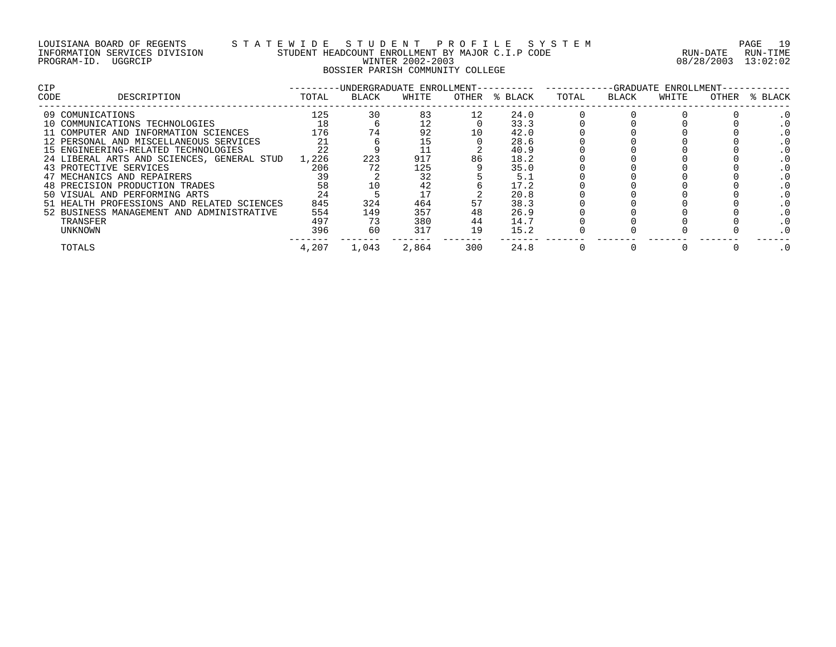## LOUISIANA BOARD OF REGENTS S T A T E W I D E S T U D E N T P R O F I L E S Y S T E M PAGE 19 INFORMATION SERVICES DIVISION STUDENT HEADCOUNT ENROLLMENT BY MAJOR C.I.P CODE RUN-DATE RUN-TIME PROGRAM-ID. UGGRCIP WINTER 2002-2003 08/28/2003 13:02:02 BOSSIER PARISH COMMUNITY COLLEGE

| <b>CIP</b>                                 |       |              | -UNDERGRADUATE ENROLLMENT- |       |         | -GRADUATE<br>ENROLLMENT- |       |       |       |         |
|--------------------------------------------|-------|--------------|----------------------------|-------|---------|--------------------------|-------|-------|-------|---------|
| DESCRIPTION<br>CODE                        | TOTAL | <b>BLACK</b> | WHITE                      | OTHER | % BLACK | TOTAL                    | BLACK | WHITE | OTHER | % BLACK |
| 09 COMUNICATIONS                           | 125   | 30           | 83                         |       | 24.0    |                          |       |       |       |         |
| 10 COMMUNICATIONS TECHNOLOGIES             | 18    |              | 12                         |       | 33.3    |                          |       |       |       |         |
| 11 COMPUTER AND INFORMATION SCIENCES       | 176   |              | 92                         | 10    | 42.0    |                          |       |       |       |         |
| 12 PERSONAL AND MISCELLANEOUS SERVICES     | 21    |              |                            |       | 28.6    |                          |       |       |       |         |
| 15 ENGINEERING-RELATED TECHNOLOGIES        | 22    |              |                            |       | 40.9    |                          |       |       |       |         |
| 24 LIBERAL ARTS AND SCIENCES, GENERAL STUD | 1,226 | 223          | 917                        | 86    | 18.2    |                          |       |       |       |         |
| 43 PROTECTIVE SERVICES                     | 206   |              | 125                        |       | 35.0    |                          |       |       |       |         |
| 47 MECHANICS AND REPAIRERS                 | 39    |              | 32                         |       | 5.1     |                          |       |       |       |         |
| 48 PRECISION PRODUCTION TRADES             | 58    |              | 42                         |       | 17.2    |                          |       |       |       |         |
| 50 VISUAL AND PERFORMING ARTS              | 24    |              | 17                         |       | 20.8    |                          |       |       |       |         |
| 51 HEALTH PROFESSIONS AND RELATED SCIENCES | 845   | 324          | 464                        |       | 38.3    |                          |       |       |       |         |
| 52 BUSINESS MANAGEMENT AND ADMINISTRATIVE  | 554   | 149          | 357                        | 48    | 26.9    |                          |       |       |       |         |
| TRANSFER                                   | 497   | 73           | 380                        | 44    | 14.7    |                          |       |       |       |         |
| UNKNOWN                                    | 396   | 60           | 317                        | 19    | 15.2    |                          |       |       |       |         |
| TOTALS                                     | 4,207 | 1,043        | 2,864                      | 300   | 24.8    |                          |       |       |       |         |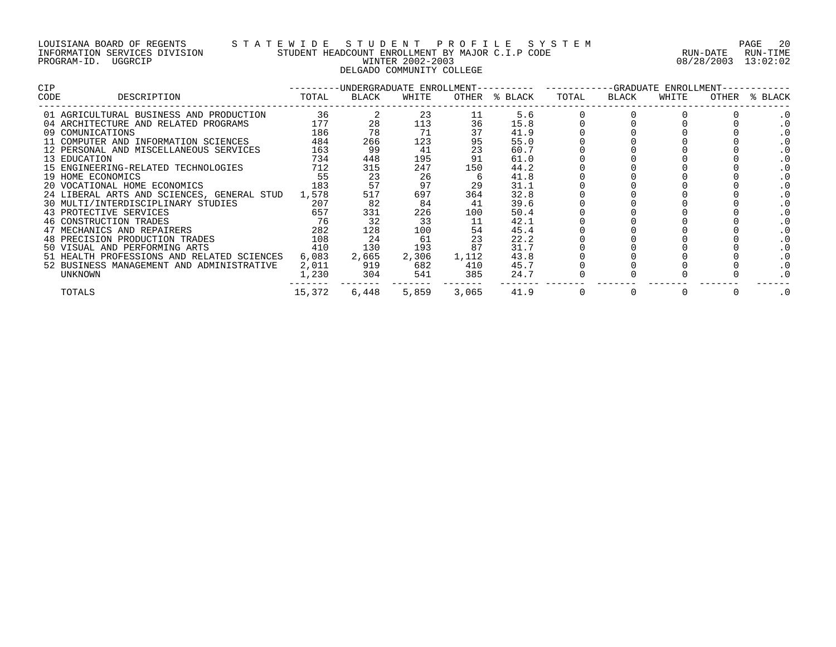### LOUISIANA BOARD OF REGENTS S T A T E W I D E S T U D E N T P R O F I L E S Y S T E M PAGE 20 INFORMATION SERVICES DIVISION STUDENT HEADCOUNT ENROLLMENT BY MAJOR C.I.P CODE RUN-DATE RUN-TIME PROGRAM-ID. UGGRCIP WINTER 2002-2003 08/28/2003 13:02:02 DELGADO COMMUNITY COLLEGE

| <b>CIP</b> |                                            |        |           |       |             |               | ---------UNDERGRADUATE ENROLLMENT---------- ---------GRADUATE ENROLLMENT-- |                |       |       |         |
|------------|--------------------------------------------|--------|-----------|-------|-------------|---------------|----------------------------------------------------------------------------|----------------|-------|-------|---------|
| CODE       | DESCRIPTION                                | TOTAL  | BLACK     | WHITE |             | OTHER % BLACK | TOTAL                                                                      | BLACK          | WHITE | OTHER | % BLACK |
|            | 01 AGRICULTURAL BUSINESS AND PRODUCTION    | 36     |           | 23    | 11          | 5.6           |                                                                            |                |       |       | . 0     |
|            | 04 ARCHITECTURE AND RELATED PROGRAMS       | 177    | 28        | 113   | 36          | 15.8          |                                                                            |                |       |       |         |
|            | 09 COMUNICATIONS                           | 186    | 78        | 71    | 37          | 41.9          |                                                                            |                |       |       |         |
|            | 11 COMPUTER AND INFORMATION SCIENCES       | 484    | 266       | 123   | 95          | 55.0          |                                                                            |                |       |       |         |
|            | 12 PERSONAL AND MISCELLANEOUS SERVICES     | 163    | 99        | 41    | 23          | 60.7          |                                                                            |                |       |       |         |
|            | 13 EDUCATION                               | 734    | 448       | 195   | 91          | 61.0          |                                                                            |                |       |       | . 0     |
|            | 15 ENGINEERING-RELATED TECHNOLOGIES        | 712    | 315       | 247   | 150         | 44.2          |                                                                            |                |       |       |         |
|            | 19 HOME ECONOMICS                          | 55     | 23        | 26    |             | 41.8          |                                                                            |                |       |       | . 0     |
|            | 183<br>20 VOCATIONAL HOME ECONOMICS        |        | 57        | 97    | 29          | 31.1          |                                                                            |                |       |       |         |
|            | 24 LIBERAL ARTS AND SCIENCES, GENERAL STUD | 1,578  | 517       | 697   | 364         | 32.8          |                                                                            |                |       |       |         |
|            | 30 MULTI/INTERDISCIPLINARY STUDIES 207     |        | 82        | 84    | 41          | 39.6          |                                                                            |                |       |       |         |
|            | 657<br>43 PROTECTIVE SERVICES              |        | 331       | 226   | 100         | 50.4          |                                                                            |                |       |       |         |
|            | 46 CONSTRUCTION TRADES                     | 76     | 32        | 33    | 11          | 42.1          |                                                                            |                |       |       |         |
|            | 47 MECHANICS AND REPAIRERS                 | 282    | 128       | 100   | 54          | 45.4          |                                                                            |                |       |       |         |
|            | 48 PRECISION PRODUCTION TRADES             | 108    | 24        | 61    | 23          | 22.2          |                                                                            |                |       |       |         |
|            | 410<br>50 VISUAL AND PERFORMING ARTS       |        | 130       | 193   | 87          | 31.7          |                                                                            |                |       |       |         |
|            | 51 HEALTH PROFESSIONS AND RELATED SCIENCES | 6,083  | 2,665     |       | 2,306 1,112 | 43.8          |                                                                            |                |       |       | . 0     |
|            | 52 BUSINESS MANAGEMENT AND ADMINISTRATIVE  | 2,011  | 919       | 682   | 410         | 45.7          |                                                                            |                |       |       |         |
|            | UNKNOWN                                    |        | 1,230 304 | 541   | 385         | 24.7          |                                                                            |                |       |       |         |
|            | TOTALS                                     | 15,372 | 6,448     | 5,859 | 3,065       | 41.9          | $\overline{0}$                                                             | $\overline{0}$ |       |       | . 0     |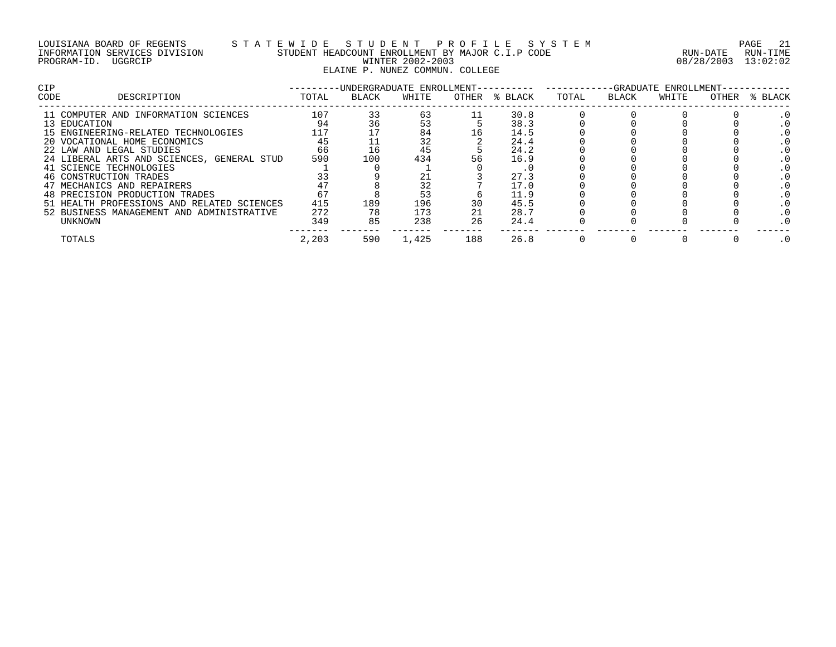### LOUISIANA BOARD OF REGENTS S T A T E W I D E S T U D E N T P R O F I L E S Y S T E M PAGE 21 INFORMATION SERVICES DIVISION STUDENT HEADCOUNT ENROLLMENT BY MAJOR C.I.P CODE RUN-DATE RUN-TIME PROGRAM-ID. UGGRCIP WINTER 2002-2003 08/28/2003 13:02:02 ELAINE P. NUNEZ COMMUN. COLLEGE

| <b>CIP</b> |                                            |       |       | -UNDERGRADUATE ENROLLMENT- |     |               | -GRADUATE ENROLLMENT- |       |       |       |         |
|------------|--------------------------------------------|-------|-------|----------------------------|-----|---------------|-----------------------|-------|-------|-------|---------|
| CODE       | DESCRIPTION                                | TOTAL | BLACK | WHITE                      |     | OTHER % BLACK | TOTAL                 | BLACK | WHITE | OTHER | % BLACK |
|            | 11 COMPUTER AND INFORMATION SCIENCES       | 107   | 33    | 63                         |     | 30.8          |                       |       |       |       |         |
|            | 13 EDUCATION                               | 94    |       | 53                         |     | 38.3          |                       |       |       |       |         |
|            | 15 ENGINEERING-RELATED TECHNOLOGIES        | 117   |       | 84                         | 16  | 14.5          |                       |       |       |       |         |
|            | 20 VOCATIONAL HOME ECONOMICS               | 45    |       | 32                         |     | 24.4          |                       |       |       |       |         |
|            | 22 LAW AND LEGAL STUDIES                   | 66    | 16    | 45                         |     | 24.2          |                       |       |       |       |         |
|            | 24 LIBERAL ARTS AND SCIENCES, GENERAL STUD | 590   | 100   | 434                        | 56  | 16.9          |                       |       |       |       |         |
|            | 41 SCIENCE TECHNOLOGIES                    |       |       |                            |     |               |                       |       |       |       |         |
|            | 46 CONSTRUCTION TRADES                     |       |       |                            |     | 27.3          |                       |       |       |       |         |
|            | 47 MECHANICS AND REPAIRERS                 |       |       | 32                         |     | 17.0          |                       |       |       |       |         |
|            | 48 PRECISION PRODUCTION TRADES             | 67    |       | 53                         |     | 11.9          |                       |       |       |       |         |
|            | 51 HEALTH PROFESSIONS AND RELATED SCIENCES | 415   | 189   | 196                        |     | 45.5          |                       |       |       |       |         |
|            | 52 BUSINESS MANAGEMENT AND ADMINISTRATIVE  | 272   | 78    | 173                        | 21  | 28.7          |                       |       |       |       |         |
|            | UNKNOWN                                    | 349   | 85    | 238                        | 26  | 24.4          |                       |       |       |       |         |
|            | TOTALS                                     | 2,203 | 590   | 1,425                      | 188 | 26.8          |                       |       |       |       |         |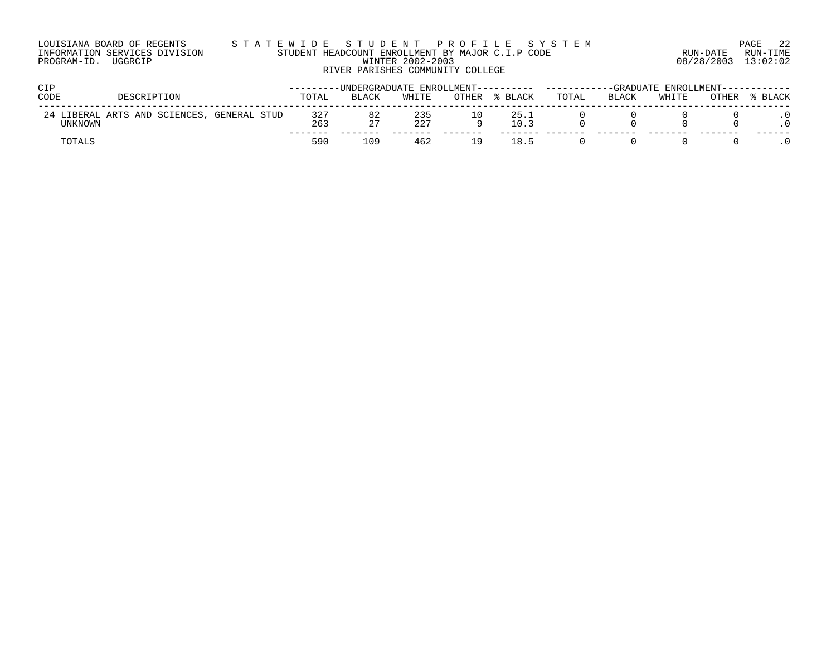| LOUISIANA BOARD OF REGENTS    | STATEWIDE STUDENT PROFILE SYSTEM                                                         |                     | PAGE 22           |
|-------------------------------|------------------------------------------------------------------------------------------|---------------------|-------------------|
| INFORMATION SERVICES DIVISION | STUDENT HEADCOUNT ENROLLMENT BY MAJOR C.I.P CODE                                         |                     | RUN-DATE RUN-TIME |
| PROGRAM-ID. UGGRCIP           | WINTER 2002-2003                                                                         | 08/28/2003 13:02:02 |                   |
|                               | RIVER PARISHES COMMUNITY COLLEGE                                                         |                     |                   |
| <b>CIP</b>                    | ---------UNDERGRADUATE_ENROLLMENT------------------------GRADUATE_ENROLLMENT------------ |                     |                   |

| ---     |                                            |            |              |            |       |              |       |              |       |       |         |  |
|---------|--------------------------------------------|------------|--------------|------------|-------|--------------|-------|--------------|-------|-------|---------|--|
| CODE    | IPTION<br>ר הר                             | TOTAL      | <b>BLACK</b> | WHITE      | OTHER | BLACK        | TOTAL | <b>BLACK</b> | WHITE | OTHER | % BLACK |  |
| UNKNOWN | 24 LIBERAL ARTS AND SCIENCES, GENERAL STUD | 327<br>263 | 82           | 235<br>227 |       | 25.1<br>10.3 |       |              |       |       |         |  |
| TOTALS  |                                            | 590        | ⊥09          | 462        | ∣q.   | 18.5         |       |              |       |       |         |  |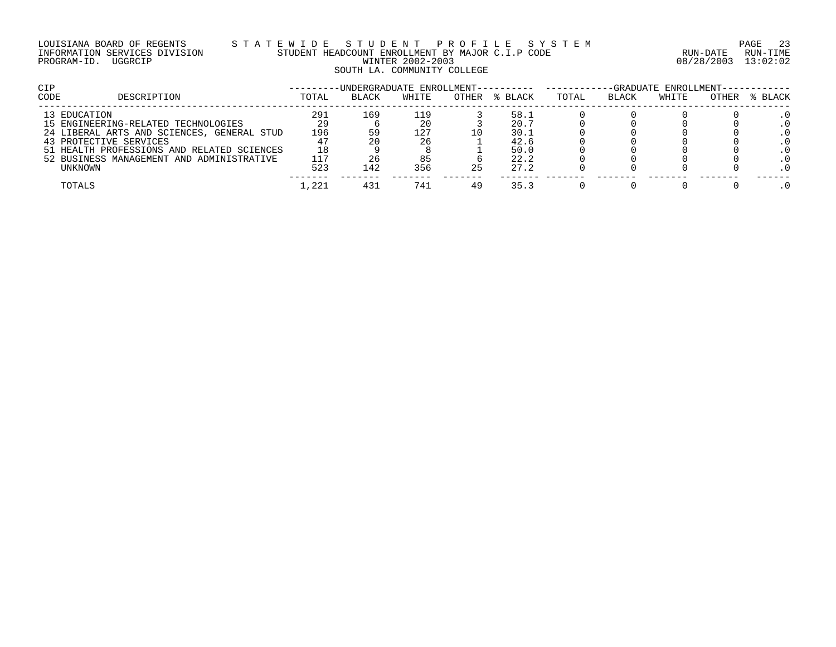## LOUISIANA BOARD OF REGENTS S T A T E W I D E S T U D E N T P R O F I L E S Y S T E M PAGE 23 INFORMATION SERVICES DIVISION STUDENT HEADCOUNT ENROLLMENT BY MAJOR C.I.P CODE RUN-DATE RUN-TIME PROGRAM-ID. UGGRCIP WINTER 2002-2003 08/28/2003 13:02:02 SOUTH LA. COMMUNITY COLLEGE

| <b>CIP</b> |                                            |       |              |       |       |         | -GRADUATE ENROLLMENT-----------<br>-UNDERGRADUATE ENROLLMENT---------- ------- |       |       |       |         |  |
|------------|--------------------------------------------|-------|--------------|-------|-------|---------|--------------------------------------------------------------------------------|-------|-------|-------|---------|--|
| CODE       | DESCRIPTION                                | TOTAL | <b>BLACK</b> | WHITE | OTHER | % BLACK | TOTAL                                                                          | BLACK | WHITE | OTHER | % BLACK |  |
|            | 13 EDUCATION                               | 291   | 169          | 119   |       | 58.1    |                                                                                |       |       |       |         |  |
|            | 15 ENGINEERING-RELATED TECHNOLOGIES        | 29    |              | 20    |       | 20.7    |                                                                                |       |       |       |         |  |
|            | 24 LIBERAL ARTS AND SCIENCES, GENERAL STUD | 196   |              | 127   |       | 30.1    |                                                                                |       |       |       |         |  |
|            | 43 PROTECTIVE SERVICES                     |       |              | 26    |       | 42.6    |                                                                                |       |       |       |         |  |
|            | 51 HEALTH PROFESSIONS AND RELATED SCIENCES | 18    |              |       |       | 50.0    |                                                                                |       |       |       |         |  |
|            | 52 BUSINESS MANAGEMENT AND ADMINISTRATIVE  | 117   |              | 85    |       | 22.2    |                                                                                |       |       |       |         |  |
|            | UNKNOWN                                    | 523   | 142          | 356   | 25    | 27.2    |                                                                                |       |       |       |         |  |
|            | TOTALS                                     | 1,221 | 431          | 741   | 49    | 35.3    |                                                                                |       |       |       |         |  |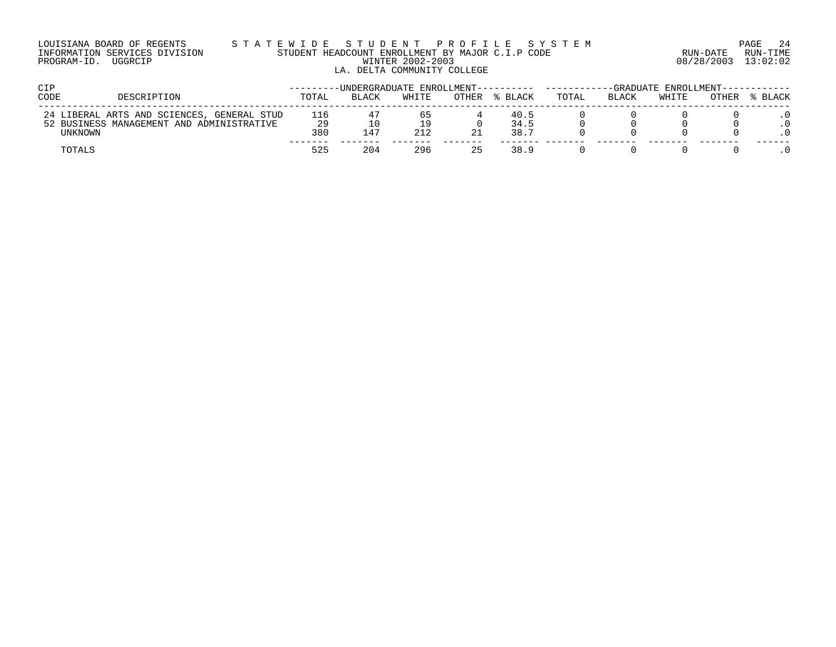### LOUISIANA BOARD OF REGENTS S T A T E W I D E S T U D E N T P R O F I L E S Y S T E M PAGE 24 INFORMATION SERVICES DIVISION STUDENT HEADCOUNT ENROLLMENT BY MAJOR C.I.P CODE RUN-DATE RUN-TIME PROGRAM-ID. UGGRCIP WINTER 2002-2003 08/28/2003 13:02:02 LA. DELTA COMMUNITY COLLEGE

| <b>CIP</b> |                                            |           | -UNDERGRADUATE ENROLLMENT------ |       |       |              | -GRADUATE ENROLLMENT-- |       |       |       |         |
|------------|--------------------------------------------|-----------|---------------------------------|-------|-------|--------------|------------------------|-------|-------|-------|---------|
| CODE       | DESCRIPTION                                | TOTAL     | <b>BLACK</b>                    | WHITE | OTHER | % BLACK      | TOTAL                  | BLACK | WHITE | OTHER | % BLACK |
|            | 24 LIBERAL ARTS AND SCIENCES, GENERAL STUD | 116       |                                 | 65    |       | 40.5         |                        |       |       |       |         |
| UNKNOWN    | 52 BUSINESS MANAGEMENT AND ADMINISTRATIVE  | 29<br>380 | 147                             | 212   |       | 34.5<br>38.7 |                        |       |       |       |         |
| TOTALS     |                                            | 525       | 204                             | 296   | 25    | 38.9         |                        |       |       |       |         |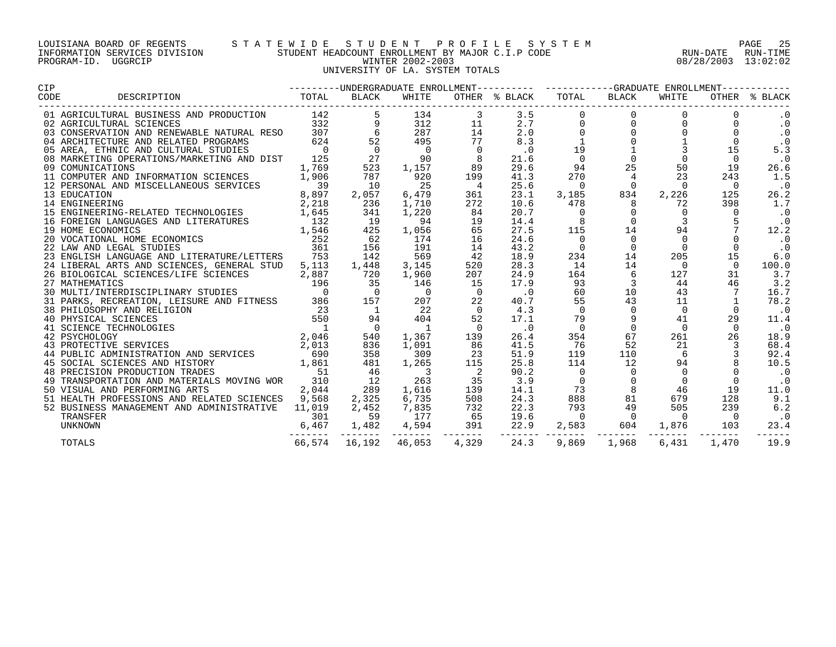### LOUISIANA BOARD OF REGENTS S T A T E W I D E S T U D E N T P R O F I L E S Y S T E M PAGE 25 INFORMATION SERVICES DIVISION STUDENT HEADCOUNT ENROLLMENT BY MAJOR C.I.P CODE RUN-DATE RUN-TIME PROGRAM-ID. UGGRCIP WINTER 2002-2003 08/28/2003 13:02:02 UNIVERSITY OF LA. SYSTEM TOTALS

| <b>CIP</b>                                                                                                                                                                                                                                     |                |                |                          |                            |               | --------UNDERGRADUATE ENROLLMENT---------- ---------GRADUATE ENROLLMENT---------- |                                      |          |                          |               |  |
|------------------------------------------------------------------------------------------------------------------------------------------------------------------------------------------------------------------------------------------------|----------------|----------------|--------------------------|----------------------------|---------------|-----------------------------------------------------------------------------------|--------------------------------------|----------|--------------------------|---------------|--|
| DESCRIPTION<br>CODE                                                                                                                                                                                                                            | TOTAL          | BLACK          | WHITE                    |                            | OTHER % BLACK | TOTAL                                                                             | BLACK                                | WHITE    |                          | OTHER % BLACK |  |
| 01 AGRICULTURAL BUSINESS AND PRODUCTION                                                                                                                                                                                                        | 142            |                | 134                      | 3                          | 3.5           |                                                                                   | $\overline{0}$                       | $\Omega$ |                          | . 0           |  |
| 02 AGRICULTURAL SCIENCES<br>02 AGRICULTURAL SCIENCES<br>03 CONSERVATION AND RENEWABLE NATURAL RESO 307                                                                                                                                         | 332            |                | 312                      | 11                         | 2.7           |                                                                                   | $\overline{0}$                       | $\Omega$ | $\Omega$                 | $\cdot$ 0     |  |
|                                                                                                                                                                                                                                                |                | 6              | 287                      | 14                         | 2.0           | $\mathbf 0$                                                                       | $\overline{0}$                       |          | $\Omega$                 | $\cdot$ 0     |  |
| 04 ARCHITECTURE AND RELATED PROGRAMS                                                                                                                                                                                                           | 624            | 52             | 495                      | 77                         | 8.3           |                                                                                   |                                      |          |                          | $\cdot$ 0     |  |
| 05 AREA, ETHNIC AND CULTURAL STUDIES                                                                                                                                                                                                           | $\overline{0}$ | $\overline{0}$ | $\overline{0}$           | $\overline{0}$             | .0            | 19                                                                                | $\begin{matrix} 1 \\ 0 \end{matrix}$ |          | 15                       | 5.3           |  |
| 08 MARKETING OPERATIONS/MARKETING AND DIST                                                                                                                                                                                                     | 125            | 27             | 90                       |                            | 21.6          | $\overline{0}$                                                                    |                                      |          | $\Omega$                 | $\cdot$ 0     |  |
| 09 COMUNICATIONS                                                                                                                                                                                                                               | 1,769          | 523            | 1,157                    | 89                         | 29.6          | 94                                                                                | 25                                   | 50       | 19                       | 26.6          |  |
| 11 COMPUTER AND INFORMATION SCIENCES                                                                                                                                                                                                           | 1,906          | 787            | 920                      | 199                        | 41.3          | 270                                                                               | $\overline{4}$                       | 23       | 243                      | 1.5           |  |
| 12 PERSONAL AND MISCELLANEOUS SERVICES                                                                                                                                                                                                         | 39             | 10             | 25                       | $\frac{4}{3}$              | 25.6          | $\bigcirc$                                                                        | $\overline{0}$                       | $\Omega$ | $\Omega$                 | $\cdot$ 0     |  |
| 13 EDUCATION                                                                                                                                                                                                                                   | 8,897          | 2,057          | 6,479                    | 361                        | 23.1          | 3,185                                                                             | 834                                  | 2,226    | 125                      | 26.2          |  |
| 14 ENGINEERING                                                                                                                                                                                                                                 | 2,218          | 236            | 1,710                    | 272                        | 10.6          | 478                                                                               | 8                                    | 72       | 398                      | 1.7           |  |
| 15 ENGINEERING-RELATED TECHNOLOGIES 1,645                                                                                                                                                                                                      |                | 341            | 1,220                    | 84                         | 20.7          | $\Omega$                                                                          | $\Omega$                             |          | $\Omega$                 | $\cdot$ 0     |  |
|                                                                                                                                                                                                                                                |                | 19             | 94                       | 19                         | 14.4          |                                                                                   | $\Omega$                             |          |                          | $\cdot$ 0     |  |
| 16 FOREIGN LANGUAGES AND LITERATURES<br>19 HOME ECONOMICS<br>20 VOCATIONAL HOME ECONOMICS<br>20 VOCATIONAL HOME ECONOMICS<br>252                                                                                                               |                | 425            | 1,056                    | 65                         | 27.5          | 115                                                                               | 14                                   | 94       |                          | 12.2          |  |
|                                                                                                                                                                                                                                                |                | 62             | 174                      | 16                         | 24.6          | $\Omega$                                                                          | $\overline{0}$                       | 0        |                          | $\cdot$ 0     |  |
| 22 LAW AND LEGAL STUDIES                                                                                                                                                                                                                       | 361            | 156            | 191                      | 14                         | 43.2          | $\mathbf 0$                                                                       | $\overline{0}$                       | $\Omega$ |                          | $\cdot$ 0     |  |
| 23 ENGLISH LANGUAGE AND LITERATURE/LETTERS 753                                                                                                                                                                                                 |                | 142            | 569                      | 42                         | 18.9          | 234                                                                               | 14                                   | 205      | 15                       | 6.0           |  |
| 24 LIBERAL ARTS AND SCIENCES, GENERAL STUD                                                                                                                                                                                                     | 5,113          | 1,448          | 3,145                    | 520                        | 28.3          | 14                                                                                | 14                                   | $\Omega$ | $\Omega$                 | 100.0         |  |
| 26 BIOLOGICAL SCIENCES/LIFE SCIENCES                                                                                                                                                                                                           | 2,887          | 720            | 1,960                    | 207                        | 24.9          | 164                                                                               | 6                                    | 127      | 31                       | 3.7           |  |
| 27 MATHEMATICS                                                                                                                                                                                                                                 | 196            | 35             | 146                      | 15                         | 17.9          | 93                                                                                | 3                                    | 44       | 46                       | 3.2           |  |
| 31 PARKS, RECREATION, LEISURE AND FITNESS 386<br>38 PHILOSOPHY AND RELIGION<br>38 PHILOSOPHY AND RELIGION                                                                                                                                      |                | $\overline{0}$ | $\overline{0}$           | $\overline{0}$             | $\cdot$ 0     | 60                                                                                | 10                                   | 43       | 7                        | 16.7          |  |
|                                                                                                                                                                                                                                                |                | 157            | 207                      | 22                         | 40.7          | 55                                                                                | 43                                   | 11       |                          | 78.2          |  |
|                                                                                                                                                                                                                                                |                | $\overline{1}$ | 22                       | $\overline{0}$             | 4.3           | $\Omega$                                                                          | $\Omega$                             | $\Omega$ | $\Omega$                 | $\cdot$ 0     |  |
|                                                                                                                                                                                                                                                |                | 94             | 404                      | 52                         | 17.1          | 79                                                                                | 9                                    | 41       | 29                       | 11.4          |  |
|                                                                                                                                                                                                                                                |                | $\overline{0}$ | $\overline{1}$           | $\overline{0}$             | $\cdot$ 0     | $\Omega$                                                                          | $\Omega$                             | $\Omega$ | $\Omega$                 | $\cdot$ 0     |  |
| 38 PHILOSOPHY AND RELIGION<br>40 PHYSICAL SCIENCES<br>42 PSYCHOLOGY<br>43 PROTECTIVE SERVICES<br>43 PROTECTIVE SERVICES<br>44 PUBLIC ADMINISTRATION AND SERVICES<br>45 SOCIAL SCIENCES AND HISTORY<br>45 SOCIAL SCIENCES AND HISTORY<br>45 SOC |                | 540            | 1,367                    | 139                        | 26.4          | 354                                                                               | 67                                   | 261      | 26                       | 18.9          |  |
|                                                                                                                                                                                                                                                |                | 836            | 1,091                    | 86                         | 41.5          | 76                                                                                | 52                                   | 21       |                          | 68.4          |  |
|                                                                                                                                                                                                                                                |                | 358            | 309                      | 23                         | 51.9          | 119                                                                               | 110                                  | 6        |                          | 92.4          |  |
|                                                                                                                                                                                                                                                |                | 481            | 1,265                    | 115                        | 25.8          | 114                                                                               | 12                                   | 94       |                          | 10.5          |  |
| 48 PRECISION PRODUCTION TRADES                                                                                                                                                                                                                 | 51             | 46             | $\overline{\phantom{a}}$ | $\overline{\phantom{0}}^2$ | 90.2          |                                                                                   | $\Omega$                             | $\Omega$ |                          | $\cdot$ 0     |  |
| 49 TRANSPORTATION AND MATERIALS MOVING WOR                                                                                                                                                                                                     | 310            | 12             | 263                      | 35                         | 3.9           | $\Omega$                                                                          | $\Omega$                             | $\Omega$ | $\Omega$                 | $\cdot$ 0     |  |
| 50 VISUAL AND PERFORMING ARTS                                                                                                                                                                                                                  | 2,044          | 289            | 1,616                    | 139                        | 14.1          | 73                                                                                | 8                                    | 46       | 19                       | 11.0          |  |
| 51 HEALTH PROFESSIONS AND RELATED SCIENCES 9,568                                                                                                                                                                                               |                | 2,325          | 6,735                    | 508                        | 24.3          | 888                                                                               | 81                                   | 679      | 128                      | 9.1           |  |
| 52 BUSINESS MANAGEMENT AND ADMINISTRATIVE 11,019                                                                                                                                                                                               |                | 2,452          | 7,835                    | 732                        | 22.3          | 793                                                                               | 49                                   | 505      | 239                      | 6.2           |  |
| TRANSFER                                                                                                                                                                                                                                       | 301            | 59             | 177                      | 65                         | 19.6          | $\overline{0}$                                                                    | $\overline{0}$                       | $\Omega$ | $\overline{0}$           | $\cdot$ 0     |  |
| UNKNOWN                                                                                                                                                                                                                                        | 6,467          | 1,482          | 4,594                    | 391                        | 22.9          | 2,583                                                                             | 604                                  | 1,876    | 103<br>$- - - - - - - -$ | 23.4          |  |
| TOTALS                                                                                                                                                                                                                                         | 66,574         | 16,192         | 46,053                   | 4,329                      | 24.3          | 9,869                                                                             | 1,968                                | 6,431    | 1,470                    | 19.9          |  |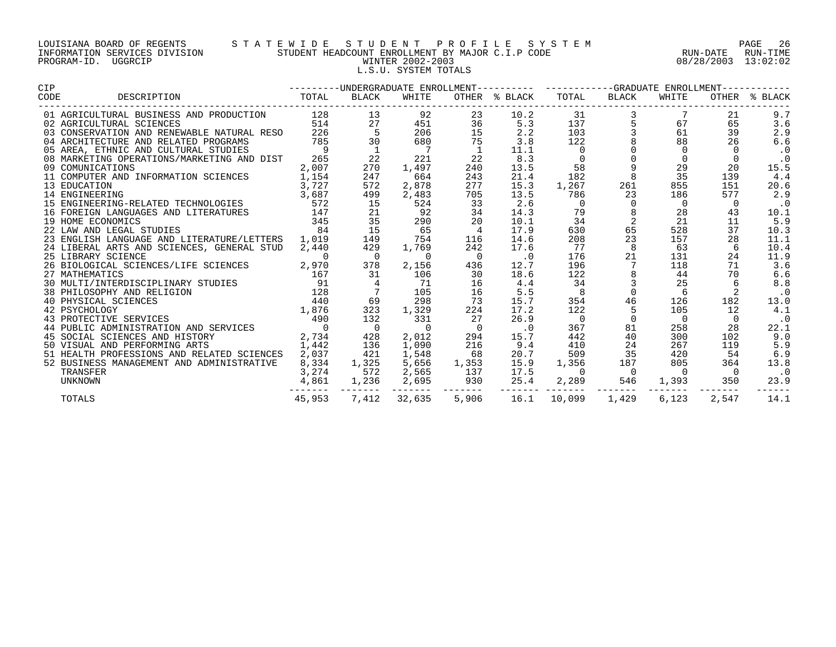# LOUISIANA BOARD OF REGENTS S T A T E W I D E S T U D E N T P R O F I L E S Y S T E M PAGE 26 INFORMATION SERVICES DIVISION STUDENT HEADCOUNT ENROLLMENT BY MAJOR C.I.P CODE RUN-DATE RUN-TIME PROGRAM-ID. UGGRCIP WINTER 2002-2003 08/28/2003 13:02:02 L.S.U. SYSTEM TOTALS

| CIP                                                                                                                                                      |                |                          |                |                          |               | ---------UNDERGRADUATE ENROLLMENT---------- ----------GRADUATE ENROLLMENT------- |                                             |                |                |               |  |
|----------------------------------------------------------------------------------------------------------------------------------------------------------|----------------|--------------------------|----------------|--------------------------|---------------|----------------------------------------------------------------------------------|---------------------------------------------|----------------|----------------|---------------|--|
| DESCRIPTION TOTAL<br>CODE                                                                                                                                |                | BLACK                    | WHITE          |                          | OTHER % BLACK | TOTAL                                                                            | BLACK                                       | WHITE          |                | OTHER % BLACK |  |
| 01 AGRICULTURAL BUSINESS AND PRODUCTION                                                                                                                  | 128            | 13                       | 92             | 23                       | 10.2          | 31                                                                               |                                             |                | 21             | 9.7           |  |
| 02 AGRICULTURAL SCIENCES                                                                                                                                 | 514            | $\frac{27}{5}$           | 451            | 36                       | 5.3           | 137                                                                              |                                             | 67             | 65             | 3.6           |  |
| 03 CONSERVATION AND RENEWABLE NATURAL RESO 226                                                                                                           |                |                          | 206            | 15                       | 2.2           | 103                                                                              |                                             | 61             | 39             | 2.9           |  |
| 04 ARCHITECTURE AND RELATED PROGRAMS                                                                                                                     | 785            | 30                       | 680            | 75                       | 3.8           | 122                                                                              |                                             | 88             | 26             | 6.6           |  |
| 05 AREA, ETHNIC AND CULTURAL STUDIES                                                                                                                     | $\overline{9}$ | $\overline{\phantom{a}}$ | $\overline{7}$ | $\overline{1}$           | 11.1          | $\overline{\phantom{0}}$                                                         |                                             | 0              |                | $\cdot$ 0     |  |
| 08 MARKETING OPERATIONS/MARKETING AND DIST                                                                                                               | 265            | 22                       | 221            | 22                       | 8.3           | $\overline{\phantom{0}}$                                                         | $\begin{bmatrix} 0 \\ 0 \\ 0 \end{bmatrix}$ | $\mathbf 0$    | $\overline{0}$ | $\cdot$ 0     |  |
| 09 COMUNICATIONS                                                                                                                                         | 2,007          | 270                      | 1,497          | 240                      | 13.5          | 58                                                                               | $\overline{9}$                              | 29             | 20             | 15.5          |  |
| 11 COMPUTER AND INFORMATION SCIENCES                                                                                                                     | 1,154          | 247                      | 664            | 243                      | 21.4          | 182                                                                              | 8                                           | 35             | 139            | 4.4           |  |
| 13 EDUCATION                                                                                                                                             | 3,727          | 572                      | 2,878          | 277                      | 15.3          | 1,267                                                                            | 261                                         | 855            | 151            | 20.6          |  |
| 14 ENGINEERING                                                                                                                                           | 3,687          | 499                      | 2,483          | 705                      | 13.5          | 786                                                                              | 23                                          | 186            | 577            | 2.9           |  |
| 15 ENGINEERING-RELATED TECHNOLOGIES 572                                                                                                                  |                | 15                       | 524            | 33                       | 2.6           | $\Omega$                                                                         | $\mathbf 0$                                 | 0              | 0              | $\cdot$ 0     |  |
| 16 FOREIGN LANGUAGES AND LITERATURES                                                                                                                     | 147            | 21                       | 92             | 34                       | 14.3          | 79                                                                               | 8                                           | 28             | 43             | 10.1          |  |
| 19 HOME ECONOMICS                                                                                                                                        | 345            | 35                       | 290            | 20                       | 10.1          | 34                                                                               | 2                                           | 21             | 11             | 5.9           |  |
| 22 LAW AND LEGAL STUDIES                                                                                                                                 | 84             | 15                       | 65             | $\overline{4}$           | 17.9          | 630                                                                              | 65                                          | 528            | 37             | 10.3          |  |
| 23 ENGLISH LANGUAGE AND LITERATURE/LETTERS                                                                                                               | 1,019          | 149                      | 754            | 116                      | 14.6          | 208                                                                              | 23                                          | 157            | 28             | 11.1          |  |
| 24 LIBERAL ARTS AND SCIENCES, GENERAL STUD                                                                                                               | 2,440          | 429                      | 1,769          | 242                      | 17.6          | 77                                                                               | 8                                           | 63             | 6              | 10.4          |  |
| 25 LIBRARY SCIENCE                                                                                                                                       | 0              | $\overline{0}$           | $\overline{0}$ | $\overline{0}$           | $\cdot$ 0     | 176                                                                              | 21                                          | 131            | 24             | 11.9          |  |
| 26 BIOLOGICAL SCIENCES/LIFE SCIENCES                                                                                                                     | 2,970          | 378                      | 2,156          | 436                      | 12.7          | 196                                                                              | 7                                           | 118            | 71             | 3.6           |  |
| 27 MATHEMATICS                                                                                                                                           | 167            | 31                       | 106            | 30                       | 18.6          | 122                                                                              |                                             | 44             | 70             | 6.6           |  |
| 30 MULTI/INTERDISCIPLINARY STUDIES                                                                                                                       | 91             | $\overline{4}$           | 71             | 16                       | 4.4           | 34                                                                               | $\overline{3}$                              | 25             | 6              | 8.8           |  |
|                                                                                                                                                          |                |                          | 105            | 16                       | 5.5           | $\overline{\phantom{0}}$                                                         | $\overline{0}$                              | 6              | 2              | $\cdot$ 0     |  |
|                                                                                                                                                          |                | 69                       | 298            | 73                       | 15.7          | 354                                                                              | 46                                          | 126            | 182            | 13.0          |  |
|                                                                                                                                                          |                | 323                      | 1,329          | 224                      | 17.2          | 122                                                                              | 5                                           | 105            | 12             | 4.1           |  |
| 38 PHILOSOPHY AND RELIGION 128<br>40 PHYSICAL SCIENCES 440<br>42 PSYCHOLOGY 1,876<br>43 PROTECTIVE SERVICES 490<br>44 PUBLIC ADMINISTRATION AND SERVICES |                | 132                      | 331            | 27                       | 26.9          | $\overline{0}$                                                                   | $\Omega$                                    | $\Omega$       | $\Omega$       | $\cdot$ 0     |  |
|                                                                                                                                                          |                | $\overline{0}$           | $\overline{0}$ | $\overline{\phantom{0}}$ | $\cdot$ 0     | 367                                                                              | 81                                          | 258            | 28             | 22.1          |  |
| 45 SOCIAL SCIENCES AND HISTORY                                                                                                                           | 2,734          | 428                      | 2,012          | 294                      | 15.7          | 442                                                                              | 40                                          | 300            | 102            | 9.0           |  |
| 50 VISUAL AND PERFORMING ARTS                                                                                                                            | 1,442          | 136                      | 1,090          | 216                      | 9.4           | 410                                                                              | 24                                          | 267            | 119            | 5.9           |  |
| 51 HEALTH PROFESSIONS AND RELATED SCIENCES                                                                                                               | 2,037          | 421                      | 1,548          | 68                       | 20.7          | 509                                                                              | 35                                          | 420            | 54             | 6.9           |  |
| 52 BUSINESS MANAGEMENT AND ADMINISTRATIVE                                                                                                                | 8,334          | 1,325                    | 5,656          | 1,353                    | 15.9          | 1,356                                                                            | 187                                         | 805            | 364            | 13.8          |  |
| TRANSFER                                                                                                                                                 | 3,274          | 572                      | 2,565          | 137                      | 17.5          | $\overline{0}$                                                                   | $\overline{0}$                              | $\overline{0}$ | $\overline{0}$ | $\cdot$ 0     |  |
| UNKNOWN                                                                                                                                                  | 4,861          | 1,236                    | 2,695          | 930                      | 25.4          | 2,289                                                                            | 546                                         | 1,393          | 350            | 23.9          |  |
| TOTALS                                                                                                                                                   | 45,953         | 7,412                    | 32,635         | 5,906                    | 16.1          | 10,099                                                                           | --------<br>1,429                           | 6,123          | 2,547          | 14.1          |  |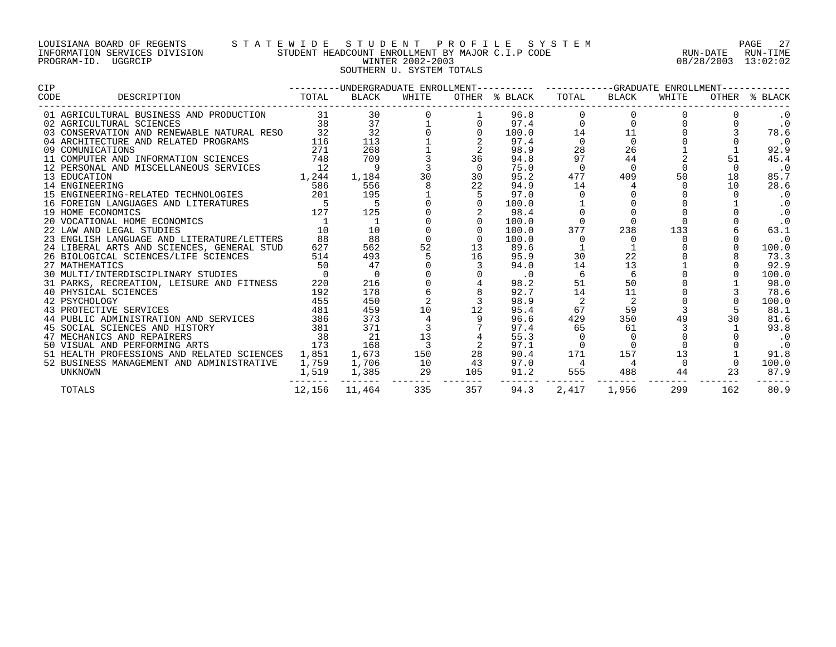# LOUISIANA BOARD OF REGENTS S T A T E W I D E S T U D E N T P R O F I L E S Y S T E M PAGE 27 INFORMATION SERVICES DIVISION STUDENT HEADCOUNT ENROLLMENT BY MAJOR C.I.P CODE RUN-DATE RUN-TIME PROGRAM-ID. UGGRCIP WINTER 2002-2003 08/28/2003 13:02:02 SOUTHERN U. SYSTEM TOTALS

| <b>CIP</b> |                                                                                 |                |                                                                                                                                                                                                                                                                                                                                                                                                                                                                          |                         |             |                           | ---------UNDERGRADUATE ENROLLMENT---------- -----------GRADUATE ENROLLMENT----------- |                |       |     |               |  |
|------------|---------------------------------------------------------------------------------|----------------|--------------------------------------------------------------------------------------------------------------------------------------------------------------------------------------------------------------------------------------------------------------------------------------------------------------------------------------------------------------------------------------------------------------------------------------------------------------------------|-------------------------|-------------|---------------------------|---------------------------------------------------------------------------------------|----------------|-------|-----|---------------|--|
| CODE       | DESCRIPTION                                                                     | TOTAL          | BLACK                                                                                                                                                                                                                                                                                                                                                                                                                                                                    | WHITE                   |             | OTHER % BLACK TOTAL BLACK |                                                                                       |                | WHITE |     | OTHER % BLACK |  |
|            | 01 AGRICULTURAL BUSINESS AND PRODUCTION                                         |                | $\begin{array}{ccccccccc} \multicolumn{4}{c }{\text{\bf 31}} & {\textbf{30}} & & & & & \\ & {\textbf{31}} & {\textbf{30}} & & & & \\ & {\textbf{38}} & {\textbf{37}} & {\textbf{1}} & & & \\ & {\textbf{38}} & {\textbf{37}} & {\textbf{1}} & & \\ & {\textbf{32}} & {\textbf{32}} & {\textbf{38}} & {\textbf{0}} \\ & {\textbf{38}} & {\textbf{39}} & {\textbf{30}} & {\textbf{30}} & {\textbf{31}} \\ & {\textbf{31}} & {\textbf{32}} & {\textbf{33}} & {\textbf{32}}$ |                         |             | 96.8                      |                                                                                       | $\overline{0}$ |       |     | $\cdot$ 0     |  |
|            | 02 AGRICULTURAL SCIENCES                                                        |                |                                                                                                                                                                                                                                                                                                                                                                                                                                                                          |                         |             |                           | $97.4$ 0<br>100.0 14                                                                  | $\overline{0}$ |       |     | $\cdot$ 0     |  |
|            | 03 CONSERVATION AND RENEWABLE NATURAL RESO 32                                   |                |                                                                                                                                                                                                                                                                                                                                                                                                                                                                          |                         | $\mathbf 0$ |                           |                                                                                       | 11             |       |     | 78.6          |  |
|            | 04 ARCHITECTURE AND RELATED PROGRAMS                                            | 116            |                                                                                                                                                                                                                                                                                                                                                                                                                                                                          |                         |             | 97.4                      | $\Omega$                                                                              | $\Omega$       |       |     | $\cdot$ 0     |  |
|            | 09 COMUNICATIONS                                                                | 271            | 268                                                                                                                                                                                                                                                                                                                                                                                                                                                                      |                         |             | 98.9                      | 28                                                                                    | 26             |       |     | 92.9          |  |
|            | 11 COMPUTER AND INFORMATION SCIENCES 748                                        |                | 709                                                                                                                                                                                                                                                                                                                                                                                                                                                                      |                         | 36          | 94.8                      | 97                                                                                    | 44             |       | 51  | 45.4          |  |
|            | 12 PERSONAL AND MISCELLANEOUS SERVICES                                          | 12             | 9                                                                                                                                                                                                                                                                                                                                                                                                                                                                        |                         |             | 75.0                      |                                                                                       |                |       |     | . 0           |  |
|            | 13 EDUCATION                                                                    | 1,244          | 1,184                                                                                                                                                                                                                                                                                                                                                                                                                                                                    | 30                      | 30          | 95.2                      | 477                                                                                   | 409            | 50    | 18  | 85.7          |  |
|            | 14 ENGINEERING                                                                  | 586            | 556                                                                                                                                                                                                                                                                                                                                                                                                                                                                      |                         | 22          | 94.9                      | 14                                                                                    |                |       | 10  | 28.6          |  |
|            | 15 ENGINEERING-RELATED TECHNOLOGIES                                             | 201            | 195                                                                                                                                                                                                                                                                                                                                                                                                                                                                      |                         |             | 97.0                      |                                                                                       |                |       |     | $\cdot$ 0     |  |
|            | 16 FOREIGN LANGUAGES AND LITERATURES                                            | $\overline{5}$ | $5^{\circ}$                                                                                                                                                                                                                                                                                                                                                                                                                                                              |                         | $\Omega$    | 100.0                     |                                                                                       |                |       |     | $\cdot$ 0     |  |
|            | 19 HOME ECONOMICS                                                               | 127            | 125                                                                                                                                                                                                                                                                                                                                                                                                                                                                      |                         |             | 98.4                      |                                                                                       |                |       |     | $\cdot$ 0     |  |
|            | 20 VOCATIONAL HOME ECONOMICS                                                    |                |                                                                                                                                                                                                                                                                                                                                                                                                                                                                          |                         |             | 100.0                     |                                                                                       | $\Omega$       |       |     | $\cdot$ 0     |  |
|            | 22 LAW AND LEGAL STUDIES                                                        |                | 10                                                                                                                                                                                                                                                                                                                                                                                                                                                                       |                         |             | 100.0                     | 377                                                                                   | 238            | 133   |     | 63.1          |  |
|            | 23 ENGLISH LANGUAGE AND LITERATURE/LETTERS                                      | 88             | 88                                                                                                                                                                                                                                                                                                                                                                                                                                                                       |                         |             | 100.0                     | $\Omega$                                                                              |                |       |     | $\cdot$ 0     |  |
|            | 24 LIBERAL ARTS AND SCIENCES, GENERAL STUD                                      | 627            | 562                                                                                                                                                                                                                                                                                                                                                                                                                                                                      | 52                      | 13          | 89.6                      |                                                                                       |                |       |     | 100.0         |  |
|            | 26 BIOLOGICAL SCIENCES/LIFE SCIENCES                                            | 514            | 493                                                                                                                                                                                                                                                                                                                                                                                                                                                                      |                         | 16          | 95.9                      | 30                                                                                    | 22             |       |     | 73.3          |  |
|            | 27 MATHEMATICS                                                                  | 50             | 47                                                                                                                                                                                                                                                                                                                                                                                                                                                                       |                         |             | 94.0                      | 14                                                                                    | 13             |       |     | 92.9          |  |
|            | 30 MULTI/INTERDISCIPLINARY STUDIES                                              | $\overline{0}$ | $\overline{0}$                                                                                                                                                                                                                                                                                                                                                                                                                                                           |                         |             | $\cdot$ 0                 | 6                                                                                     | 6              |       |     | 100.0         |  |
|            | 31 PARKS, RECREATION, LEISURE AND FITNESS                                       | 220            | 216                                                                                                                                                                                                                                                                                                                                                                                                                                                                      |                         |             | 98.2                      | 51                                                                                    | 50             |       |     | 98.0          |  |
|            | 40 PHYSICAL SCIENCES                                                            | 192            | 178                                                                                                                                                                                                                                                                                                                                                                                                                                                                      |                         |             | 92.7                      | 14                                                                                    | 11             |       |     | 78.6          |  |
|            | 42 PSYCHOLOGY                                                                   | 455            | 450                                                                                                                                                                                                                                                                                                                                                                                                                                                                      |                         |             | 98.9                      | 2                                                                                     | $\overline{2}$ |       |     | 100.0         |  |
|            | 43 PROTECTIVE SERVICES                                                          | 481            | 459                                                                                                                                                                                                                                                                                                                                                                                                                                                                      |                         | 10 12       | 95.4                      | 67                                                                                    | 59             |       |     | 88.1          |  |
|            | 44 PUBLIC ADMINISTRATION AND SERVICES 386<br>45 SOCIAL SCIENCES AND HISTORY 381 |                | 373                                                                                                                                                                                                                                                                                                                                                                                                                                                                      |                         |             | 96.6                      | 429                                                                                   | 350            | 49    |     | 81.6          |  |
|            |                                                                                 |                | 371                                                                                                                                                                                                                                                                                                                                                                                                                                                                      |                         |             | 97.4                      | 65                                                                                    | 61             |       |     | 93.8          |  |
|            | 47 MECHANICS AND REPAIRERS                                                      | 38             | 21                                                                                                                                                                                                                                                                                                                                                                                                                                                                       | 13                      |             | 55.3                      | 0                                                                                     | $\overline{0}$ |       |     | $\cdot$ 0     |  |
|            | 50 VISUAL AND PERFORMING ARTS<br>173                                            |                | 168                                                                                                                                                                                                                                                                                                                                                                                                                                                                      | $\overline{\mathbf{3}}$ |             | 97.1                      | $\Omega$                                                                              | $\Omega$       |       |     | $\cdot$ 0     |  |
|            | 51 HEALTH PROFESSIONS AND RELATED SCIENCES 1,851                                |                | 1,673                                                                                                                                                                                                                                                                                                                                                                                                                                                                    | 150                     | 28          | 90.4                      | 171                                                                                   | 157            | 13    |     | 91.8          |  |
|            | 52 BUSINESS MANAGEMENT AND ADMINISTRATIVE                                       | 1,759          | 1,706                                                                                                                                                                                                                                                                                                                                                                                                                                                                    | 10                      | 43          |                           | 97.0 4                                                                                |                |       |     | 100.0         |  |
|            | UNKNOWN                                                                         | 1,519          | 1,385                                                                                                                                                                                                                                                                                                                                                                                                                                                                    | 29 105                  |             | 91.2                      | 555                                                                                   | 488            | 44    | 23  | 87.9          |  |
|            | TOTALS                                                                          | 12,156         | 11,464                                                                                                                                                                                                                                                                                                                                                                                                                                                                   | 335                     | 357         | 94.3                      | --------------<br>2,417                                                               | 1,956          | 299   | 162 | 80.9          |  |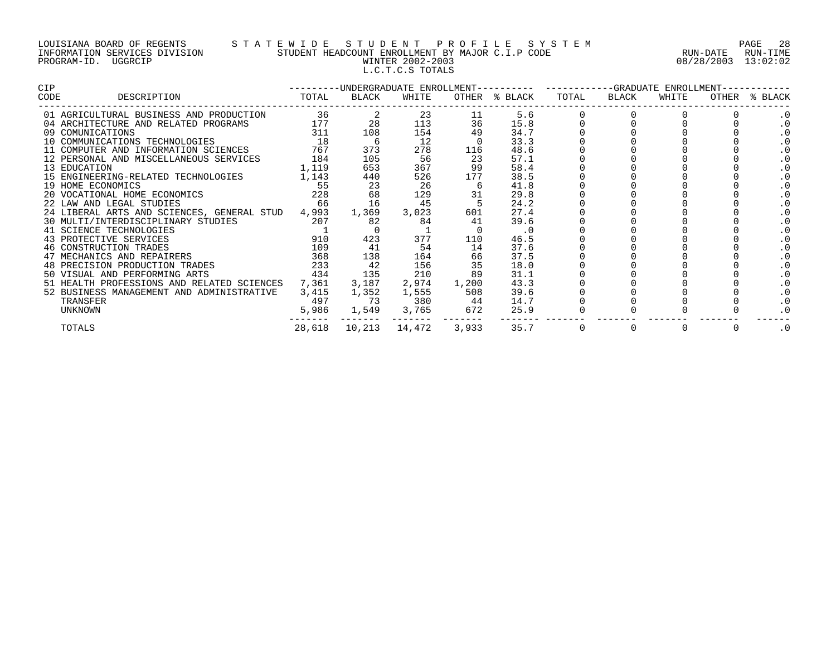# LOUISIANA BOARD OF REGENTS S T A T E W I D E S T U D E N T P R O F I L E S Y S T E M PAGE 28 INFORMATION SERVICES DIVISION STUDENT HEADCOUNT ENROLLMENT BY MAJOR C.I.P CODE RUN-DATE RUN-TIME PROGRAM-ID. UGGRCIP WINTER 2002-2003 08/28/2003 13:02:02 L.C.T.C.S TOTALS

| CIP. |                                                                                                                                                                                                                                                |        |       |                 |                     |               | --------DNDERGRADUATE ENROLLMENT---------- ---------GRADUATE ENROLLMENT- |       |       |  |               |  |
|------|------------------------------------------------------------------------------------------------------------------------------------------------------------------------------------------------------------------------------------------------|--------|-------|-----------------|---------------------|---------------|--------------------------------------------------------------------------|-------|-------|--|---------------|--|
| CODE | DESCRIPTION<br><b>TOTAL</b>                                                                                                                                                                                                                    |        | BLACK | WHITE           |                     | OTHER % BLACK | TOTAL                                                                    | BLACK | WHITE |  | OTHER % BLACK |  |
|      | 01 AGRICULTURAL BUSINESS AND PRODUCTION                                                                                                                                                                                                        | $36$ 2 |       |                 | 23 and $\sim$<br>11 | 5.6           |                                                                          |       |       |  | . 0           |  |
|      | 04 ARCHITECTURE AND RELATED PROGRAMS<br>09 COMUNICATIONS TECHNOLOGIES 18<br>10 COMMUNICATIONS TECHNOLOGIES 18<br>11 COMPUTER AND INFORMATION SCIENCES 767 3                                                                                    |        | 28    | 113             | 36                  | 15.8          |                                                                          |       |       |  |               |  |
|      |                                                                                                                                                                                                                                                |        | 108   | 154             | 49                  | 34.7          |                                                                          |       |       |  | . 0           |  |
|      |                                                                                                                                                                                                                                                |        | 6     | 12              |                     | 33.3          |                                                                          |       |       |  | . 0           |  |
|      |                                                                                                                                                                                                                                                |        | 373   | 278             | 116                 | 48.6          |                                                                          |       |       |  |               |  |
|      | 12 PERSONAL AND MISCELLANEOUS SERVICES 184                                                                                                                                                                                                     |        | 105   | 56              | 23                  | 57.1          |                                                                          |       |       |  | . 0           |  |
|      | 1,119<br>13 EDUCATION                                                                                                                                                                                                                          |        | 653   | 367             | 99                  | 58.4          |                                                                          |       |       |  | . 0           |  |
|      | 15 ENGINEERING-RELATED TECHNOLOGIES 1,143                                                                                                                                                                                                      |        | 440   | 526             | 177                 | 38.5          |                                                                          |       |       |  |               |  |
|      | 19 HOME ECONOMICS<br>20 VOCATIONAL HOME ECONOMICS 228<br>22 JAN AND LEGAL STUDIES 228                                                                                                                                                          |        | 23    | 26              | -6                  | 41.8          |                                                                          |       |       |  | . 0           |  |
|      |                                                                                                                                                                                                                                                |        | 68    | 129             | 31                  | 29.8          |                                                                          |       |       |  | . 0           |  |
|      |                                                                                                                                                                                                                                                |        | 16    | 45              |                     | 24.2          |                                                                          |       |       |  |               |  |
|      | 24 LIBERAL ARTS AND SCIENCES, GENERAL STUD 4,993                                                                                                                                                                                               |        | 1,369 | 3,023           | 601                 | 27.4          |                                                                          |       |       |  | . 0           |  |
|      |                                                                                                                                                                                                                                                |        | 82    | 84              | 41                  | 39.6          |                                                                          |       |       |  | . 0           |  |
|      | 30 MULTI/INTERDISCIPLINARY STUDIES<br>41 SCIENCE TECHNOLOGIES<br>43 PROTECTIVE SERVICES<br>46 CONSTRUCTION TRADES<br>46 CONSTRUCTION TRADES<br>47 PROTECTIVE SERVICES<br>47 PROTECTIVE SERVICES<br>47 PROTECTIVE SERVICES<br>47 PROTECTIVE SER |        |       |                 |                     | $\cdot$ 0     |                                                                          |       |       |  |               |  |
|      |                                                                                                                                                                                                                                                |        | 423   | 377             | 110                 | 46.5          |                                                                          |       |       |  | . 0           |  |
|      |                                                                                                                                                                                                                                                |        | 41    | 54              | 14                  | 37.6          |                                                                          |       |       |  | . 0           |  |
|      | 47 MECHANICS AND REPAIRERS                                                                                                                                                                                                                     | 368    | 138   | 164             | 66                  | 37.5          |                                                                          |       |       |  | . 0           |  |
|      | 48 PRECISION PRODUCTION TRADES                                                                                                                                                                                                                 | 233    | 42    | 156             | 35                  | 18.0          |                                                                          |       |       |  | . 0           |  |
|      | 434<br>50 VISUAL AND PERFORMING ARTS                                                                                                                                                                                                           |        | 135   | 210             | 89                  | 31.1          |                                                                          |       |       |  | . 0           |  |
|      | 51 HEALTH PROFESSIONS AND RELATED SCIENCES                                                                                                                                                                                                     | 7,361  | 3,187 | 2,974           | 1,200               | 43.3          |                                                                          |       |       |  | . 0           |  |
|      | 52 BUSINESS MANAGEMENT AND ADMINISTRATIVE                                                                                                                                                                                                      | 3,415  | 1,352 | 1,555           | 508                 | 39.6          |                                                                          |       |       |  | . 0           |  |
|      | TRANSFER                                                                                                                                                                                                                                       | 497    | 73    | 380 44          |                     | 14.7          |                                                                          |       |       |  | . 0           |  |
|      | UNKNOWN                                                                                                                                                                                                                                        | 5,986  |       | 1,549 3,765 672 |                     | 25.9          |                                                                          |       |       |  |               |  |
|      | TOTALS                                                                                                                                                                                                                                         | 28,618 |       |                 | 3,933               | 35.7          | 0                                                                        |       |       |  | . 0           |  |